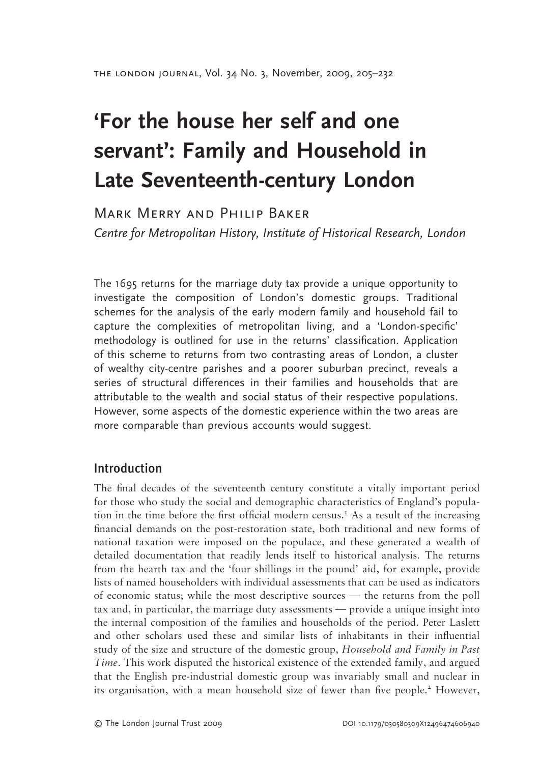# **'For the house her self and one servant': Family and Household in Late Seventeenth-century London**

Mark Merry and Philip Baker*Centre for Metropolitan History, Institute of Historical Research, London*

The 1695 returns for the marriage duty tax provide a unique opportunity to investigate the composition of London's domestic groups. Traditional schemes for the analysis of the early modern family and household fail to capture the complexities of metropolitan living, and a 'London-specific' methodology is outlined for use in the returns' classification. Application of this scheme to returns from two contrasting areas of London, a cluster of wealthy city-centre parishes and a poorer suburban precinct, reveals a series of structural differences in their families and households that are attributable to the wealth and social status of their respective populations. However, some aspects of the domestic experience within the two areas are more comparable than previous accounts would suggest.

### Introduction

The final decades of the seventeenth century constitute a vitally important period for those who study the social and demographic characteristics of England's population in the time before the first official modern census.<sup>1</sup> As a result of the increasing financial demands on the post-restoration state, both traditional and new forms of national taxation were imposed on the populace, and these generated a wealth of detailed documentation that readily lends itself to historical analysis. The returns from the hearth tax and the 'four shillings in the pound' aid, for example, provide lists of named householders with individual assessments that can be used as indicators of economic status; while the most descriptive sources — the returns from the poll tax and, in particular, the marriage duty assessments — provide a unique insight into the internal composition of the families and households of the period. Peter Laslett and other scholars used these and similar lists of inhabitants in their influential study of the size and structure of the domestic group, *Household and Family in Past Time*. This work disputed the historical existence of the extended family, and argued that the English pre-industrial domestic group was invariably small and nuclear in its organisation, with a mean household size of fewer than five people.<sup>2</sup> However,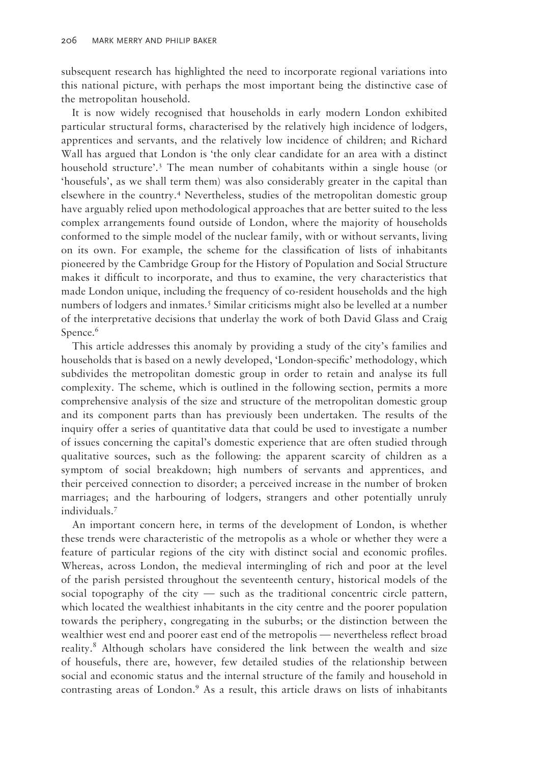subsequent research has highlighted the need to incorporate regional variations into this national picture, with perhaps the most important being the distinctive case of the metropolitan household.

It is now widely recognised that households in early modern London exhibited particular structural forms, characterised by the relatively high incidence of lodgers, apprentices and servants, and the relatively low incidence of children; and Richard Wall has argued that London is 'the only clear candidate for an area with a distinct household structure'.3 The mean number of cohabitants within a single house (or 'housefuls', as we shall term them) was also considerably greater in the capital than elsewhere in the country.<sup>4</sup> Nevertheless, studies of the metropolitan domestic group have arguably relied upon methodological approaches that are better suited to the less complex arrangements found outside of London, where the majority of households conformed to the simple model of the nuclear family, with or without servants, living on its own. For example, the scheme for the classification of lists of inhabitants pioneered by the Cambridge Group for the History of Population and Social Structure makes it difficult to incorporate, and thus to examine, the very characteristics that made London unique, including the frequency of co-resident households and the high numbers of lodgers and inmates.<sup>5</sup> Similar criticisms might also be levelled at a number of the interpretative decisions that underlay the work of both David Glass and Craig Spence.<sup>6</sup>

This article addresses this anomaly by providing a study of the city's families and households that is based on a newly developed, 'London-specific' methodology, which subdivides the metropolitan domestic group in order to retain and analyse its full complexity. The scheme, which is outlined in the following section, permits a more comprehensive analysis of the size and structure of the metropolitan domestic group and its component parts than has previously been undertaken. The results of the inquiry offer a series of quantitative data that could be used to investigate a number of issues concerning the capital's domestic experience that are often studied through qualitative sources, such as the following: the apparent scarcity of children as a symptom of social breakdown; high numbers of servants and apprentices, and their perceived connection to disorder; a perceived increase in the number of broken marriages; and the harbouring of lodgers, strangers and other potentially unruly individuals.7

An important concern here, in terms of the development of London, is whether these trends were characteristic of the metropolis as a whole or whether they were a feature of particular regions of the city with distinct social and economic profiles. Whereas, across London, the medieval intermingling of rich and poor at the level of the parish persisted throughout the seventeenth century, historical models of the social topography of the city — such as the traditional concentric circle pattern, which located the wealthiest inhabitants in the city centre and the poorer population towards the periphery, congregating in the suburbs; or the distinction between the wealthier west end and poorer east end of the metropolis — nevertheless reflect broad reality.<sup>8</sup> Although scholars have considered the link between the wealth and size of housefuls, there are, however, few detailed studies of the relationship between social and economic status and the internal structure of the family and household in contrasting areas of London.<sup>9</sup> As a result, this article draws on lists of inhabitants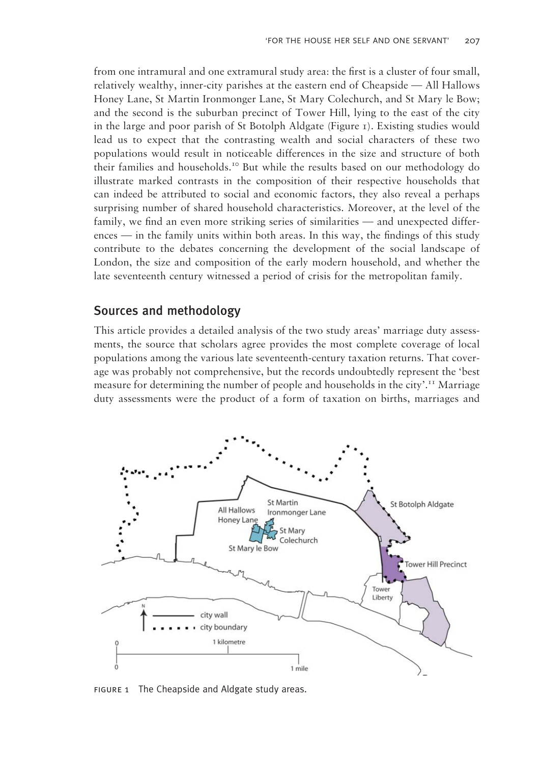from one intramural and one extramural study area: the first is a cluster of four small, relatively wealthy, inner-city parishes at the eastern end of Cheapside — All Hallows Honey Lane, St Martin Ironmonger Lane, St Mary Colechurch, and St Mary le Bow; and the second is the suburban precinct of Tower Hill, lying to the east of the city in the large and poor parish of St Botolph Aldgate (Figure 1). Existing studies would lead us to expect that the contrasting wealth and social characters of these two populations would result in noticeable differences in the size and structure of both their families and households.10 But while the results based on our methodology do illustrate marked contrasts in the composition of their respective households that can indeed be attributed to social and economic factors, they also reveal a perhaps surprising number of shared household characteristics. Moreover, at the level of the family, we find an even more striking series of similarities — and unexpected differences — in the family units within both areas. In this way, the findings of this study contribute to the debates concerning the development of the social landscape of London, the size and composition of the early modern household, and whether the late seventeenth century witnessed a period of crisis for the metropolitan family.

#### Sources and methodology

This article provides a detailed analysis of the two study areas' marriage duty assessments, the source that scholars agree provides the most complete coverage of local populations among the various late seventeenth-century taxation returns. That coverage was probably not comprehensive, but the records undoubtedly represent the 'best measure for determining the number of people and households in the city'.<sup>11</sup> Marriage duty assessments were the product of a form of taxation on births, marriages and



FIGURE 1 The Cheapside and Aldgate study areas.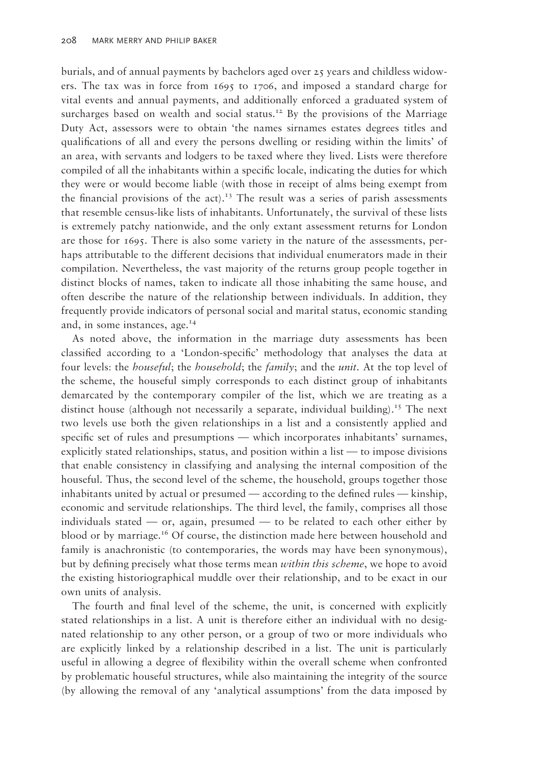burials, and of annual payments by bachelors aged over 25 years and childless widowers. The tax was in force from 1695 to 1706, and imposed a standard charge for vital events and annual payments, and additionally enforced a graduated system of surcharges based on wealth and social status.<sup>12</sup> By the provisions of the Marriage Duty Act, assessors were to obtain 'the names sirnames estates degrees titles and qualifi cations of all and every the persons dwelling or residing within the limits' of an area, with servants and lodgers to be taxed where they lived. Lists were therefore compiled of all the inhabitants within a specific locale, indicating the duties for which they were or would become liable (with those in receipt of alms being exempt from the financial provisions of the act).<sup>13</sup> The result was a series of parish assessments that resemble census-like lists of inhabitants. Unfortunately, the survival of these lists is extremely patchy nationwide, and the only extant assessment returns for London are those for 1695. There is also some variety in the nature of the assessments, perhaps attributable to the different decisions that individual enumerators made in their compilation. Nevertheless, the vast majority of the returns group people together in distinct blocks of names, taken to indicate all those inhabiting the same house, and often describe the nature of the relationship between individuals. In addition, they frequently provide indicators of personal social and marital status, economic standing and, in some instances, age.<sup>14</sup>

As noted above, the information in the marriage duty assessments has been classified according to a 'London-specific' methodology that analyses the data at four levels: the *houseful*; the *household*; the *family*; and the *unit*. At the top level of the scheme, the houseful simply corresponds to each distinct group of inhabitants demarcated by the contemporary compiler of the list, which we are treating as a distinct house (although not necessarily a separate, individual building).<sup>15</sup> The next two levels use both the given relationships in a list and a consistently applied and specific set of rules and presumptions — which incorporates inhabitants' surnames, explicitly stated relationships, status, and position within a list — to impose divisions that enable consistency in classifying and analysing the internal composition of the houseful. Thus, the second level of the scheme, the household, groups together those inhabitants united by actual or presumed — according to the defined rules — kinship, economic and servitude relationships. The third level, the family, comprises all those individuals stated — or, again, presumed — to be related to each other either by blood or by marriage.<sup>16</sup> Of course, the distinction made here between household and family is anachronistic (to contemporaries, the words may have been synonymous), but by defining precisely what those terms mean *within this scheme*, we hope to avoid the existing historiographical muddle over their relationship, and to be exact in our own units of analysis.

The fourth and final level of the scheme, the unit, is concerned with explicitly stated relationships in a list. A unit is therefore either an individual with no designated relationship to any other person, or a group of two or more individuals who are explicitly linked by a relationship described in a list. The unit is particularly useful in allowing a degree of flexibility within the overall scheme when confronted by problematic houseful structures, while also maintaining the integrity of the source (by allowing the removal of any 'analytical assumptions' from the data imposed by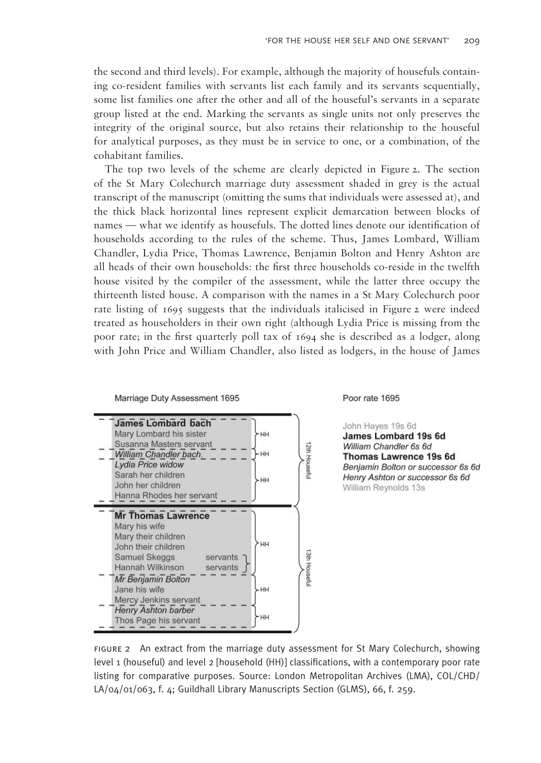the second and third levels). For example, although the majority of housefuls containing co-resident families with servants list each family and its servants sequentially, some list families one after the other and all of the houseful's servants in a separate group listed at the end. Marking the servants as single units not only preserves the integrity of the original source, but also retains their relationship to the houseful for analytical purposes, as they must be in service to one, or a combination, of the cohabitant families.

The top two levels of the scheme are clearly depicted in Figure 2. The section of the St Mary Colechurch marriage duty assessment shaded in grey is the actual transcript of the manuscript (omitting the sums that individuals were assessed at), and the thick black horizontal lines represent explicit demarcation between blocks of names — what we identify as housefuls. The dotted lines denote our identification of households according to the rules of the scheme. Thus, James Lombard, William Chandler, Lydia Price, Thomas Lawrence, Benjamin Bolton and Henry Ashton are all heads of their own households: the first three households co-reside in the twelfth house visited by the compiler of the assessment, while the latter three occupy the thirteenth listed house. A comparison with the names in a St Mary Colechurch poor rate listing of 1695 suggests that the individuals italicised in Figure 2 were indeed treated as householders in their own right (although Lydia Price is missing from the poor rate; in the first quarterly poll tax of  $1694$  she is described as a lodger, along with John Price and William Chandler, also listed as lodgers, in the house of James



#### Poor rate 1695

John Hayes 19s 6d James Lombard 19s 6d William Chandler 6s 6d Thomas Lawrence 19s 6d Benjamin Bolton or successor 6s 6d Henry Ashton or successor 6s 6d William Revnolds 13s

FIGURE 2 An extract from the marriage duty assessment for St Mary Colechurch, showing level 1 (houseful) and level 2 [household (HH)] classifications, with a contemporary poor rate listing for comparative purposes. Source: London Metropolitan Archives (LMA), COL/CHD/ LA/04/01/063, f. 4; Guildhall Library Manuscripts Section (GLMS), 66, f. 259.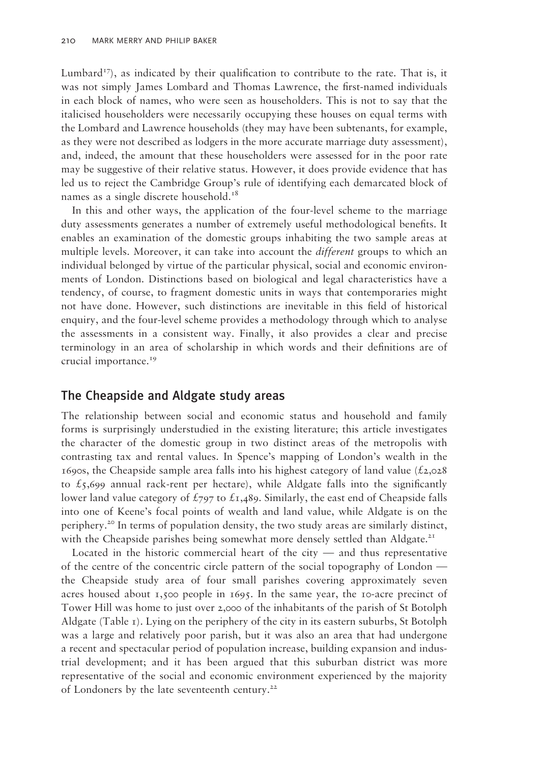Lumbard<sup>17</sup>), as indicated by their qualification to contribute to the rate. That is, it was not simply James Lombard and Thomas Lawrence, the first-named individuals in each block of names, who were seen as householders. This is not to say that the italicised householders were necessarily occupying these houses on equal terms with the Lombard and Lawrence households (they may have been subtenants, for example, as they were not described as lodgers in the more accurate marriage duty assessment), and, indeed, the amount that these householders were assessed for in the poor rate may be suggestive of their relative status. However, it does provide evidence that has led us to reject the Cambridge Group's rule of identifying each demarcated block of names as a single discrete household.<sup>18</sup>

In this and other ways, the application of the four-level scheme to the marriage duty assessments generates a number of extremely useful methodological benefits. It enables an examination of the domestic groups inhabiting the two sample areas at multiple levels. Moreover, it can take into account the *different* groups to which an individual belonged by virtue of the particular physical, social and economic environments of London. Distinctions based on biological and legal characteristics have a tendency, of course, to fragment domestic units in ways that contemporaries might not have done. However, such distinctions are inevitable in this field of historical enquiry, and the four-level scheme provides a methodology through which to analyse the assessments in a consistent way. Finally, it also provides a clear and precise terminology in an area of scholarship in which words and their definitions are of crucial importance.<sup>19</sup>

#### The Cheapside and Aldgate study areas

The relationship between social and economic status and household and family forms is surprisingly understudied in the existing literature; this article investigates the character of the domestic group in two distinct areas of the metropolis with contrasting tax and rental values. In Spence's mapping of London's wealth in the 1690s, the Cheapside sample area falls into his highest category of land value  $(\text{\textsterling}2,028)$ to  $\pounds$ <sub>5</sub>,699 annual rack-rent per hectare), while Aldgate falls into the significantly lower land value category of  $\mathcal{L}_{797}$  to  $\mathcal{L}_{1,489}$ . Similarly, the east end of Cheapside falls into one of Keene's focal points of wealth and land value, while Aldgate is on the periphery.<sup>20</sup> In terms of population density, the two study areas are similarly distinct, with the Cheapside parishes being somewhat more densely settled than Aldgate.<sup>21</sup>

Located in the historic commercial heart of the city  $-$  and thus representative of the centre of the concentric circle pattern of the social topography of London the Cheapside study area of four small parishes covering approximately seven acres housed about  $1,500$  people in  $1695$ . In the same year, the 10-acre precinct of Tower Hill was home to just over 2,000 of the inhabitants of the parish of St Botolph Aldgate (Table  $\bar{1}$ ). Lying on the periphery of the city in its eastern suburbs, St Botolph was a large and relatively poor parish, but it was also an area that had undergone a recent and spectacular period of population increase, building expansion and industrial development; and it has been argued that this suburban district was more representative of the social and economic environment experienced by the majority of Londoners by the late seventeenth century.<sup>22</sup>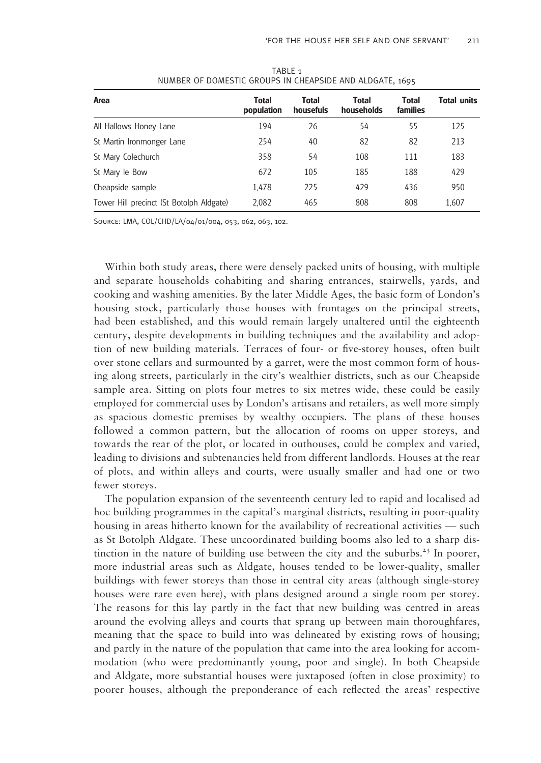| Area                                     | Total<br>population | Total<br>housefuls | Total<br>households | Total<br>families | <b>Total units</b> |
|------------------------------------------|---------------------|--------------------|---------------------|-------------------|--------------------|
| All Hallows Honey Lane                   | 194                 | 26                 | 54                  | 55                | 125                |
| St Martin Ironmonger Lane                | 254                 | 40                 | 82                  | 82                | 213                |
| St Mary Colechurch                       | 358                 | 54                 | 108                 | 111               | 183                |
| St Mary le Bow                           | 672                 | 105                | 185                 | 188               | 429                |
| Cheapside sample                         | 1.478               | 225                | 429                 | 436               | 950                |
| Tower Hill precinct (St Botolph Aldgate) | 2.082               | 465                | 808                 | 808               | 1.607              |

TABLE 1 NUMBER OF DOMESTIC GROUPS IN CHEAPSIDE AND ALDGATE, 1695

Source: LMA, COL/CHD/LA/04/01/004, 053, 062, 063, 102.

Within both study areas, there were densely packed units of housing, with multiple and separate households cohabiting and sharing entrances, stairwells, yards, and cooking and washing amenities. By the later Middle Ages, the basic form of London's housing stock, particularly those houses with frontages on the principal streets, had been established, and this would remain largely unaltered until the eighteenth century, despite developments in building techniques and the availability and adoption of new building materials. Terraces of four- or five-storey houses, often built over stone cellars and surmounted by a garret, were the most common form of housing along streets, particularly in the city's wealthier districts, such as our Cheapside sample area. Sitting on plots four metres to six metres wide, these could be easily employed for commercial uses by London's artisans and retailers, as well more simply as spacious domestic premises by wealthy occupiers. The plans of these houses followed a common pattern, but the allocation of rooms on upper storeys, and towards the rear of the plot, or located in outhouses, could be complex and varied, leading to divisions and subtenancies held from different landlords. Houses at the rear of plots, and within alleys and courts, were usually smaller and had one or two fewer storeys.

The population expansion of the seventeenth century led to rapid and localised ad hoc building programmes in the capital's marginal districts, resulting in poor-quality housing in areas hitherto known for the availability of recreational activities — such as St Botolph Aldgate. These uncoordinated building booms also led to a sharp distinction in the nature of building use between the city and the suburbs.<sup>23</sup> In poorer, more industrial areas such as Aldgate, houses tended to be lower-quality, smaller buildings with fewer storeys than those in central city areas (although single-storey houses were rare even here), with plans designed around a single room per storey. The reasons for this lay partly in the fact that new building was centred in areas around the evolving alleys and courts that sprang up between main thoroughfares, meaning that the space to build into was delineated by existing rows of housing; and partly in the nature of the population that came into the area looking for accommodation (who were predominantly young, poor and single). In both Cheapside and Aldgate, more substantial houses were juxtaposed (often in close proximity) to poorer houses, although the preponderance of each reflected the areas' respective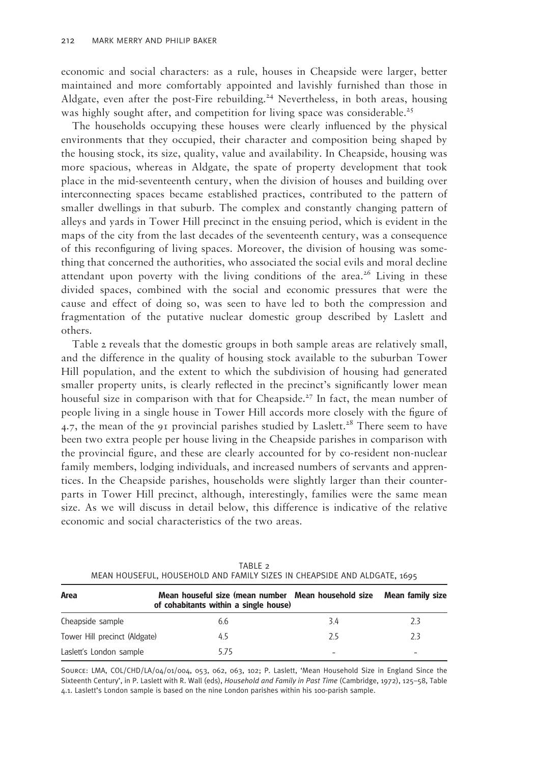economic and social characters: as a rule, houses in Cheapside were larger, better maintained and more comfortably appointed and lavishly furnished than those in Aldgate, even after the post-Fire rebuilding.24 Nevertheless, in both areas, housing was highly sought after, and competition for living space was considerable.<sup>25</sup>

The households occupying these houses were clearly influenced by the physical environments that they occupied, their character and composition being shaped by the housing stock, its size, quality, value and availability. In Cheapside, housing was more spacious, whereas in Aldgate, the spate of property development that took place in the mid-seventeenth century, when the division of houses and building over interconnecting spaces became established practices, contributed to the pattern of smaller dwellings in that suburb. The complex and constantly changing pattern of alleys and yards in Tower Hill precinct in the ensuing period, which is evident in the maps of the city from the last decades of the seventeenth century, was a consequence of this reconfiguring of living spaces. Moreover, the division of housing was something that concerned the authorities, who associated the social evils and moral decline attendant upon poverty with the living conditions of the area.<sup>26</sup> Living in these divided spaces, combined with the social and economic pressures that were the cause and effect of doing so, was seen to have led to both the compression and fragmentation of the putative nuclear domestic group described by Laslett and others.

Table 2 reveals that the domestic groups in both sample areas are relatively small, and the difference in the quality of housing stock available to the suburban Tower Hill population, and the extent to which the subdivision of housing had generated smaller property units, is clearly reflected in the precinct's significantly lower mean houseful size in comparison with that for Cheapside.<sup>27</sup> In fact, the mean number of people living in a single house in Tower Hill accords more closely with the figure of 4.7, the mean of the 91 provincial parishes studied by Laslett.<sup>28</sup> There seem to have been two extra people per house living in the Cheapside parishes in comparison with the provincial figure, and these are clearly accounted for by co-resident non-nuclear family members, lodging individuals, and increased numbers of servants and apprentices. In the Cheapside parishes, households were slightly larger than their counterparts in Tower Hill precinct, although, interestingly, families were the same mean size. As we will discuss in detail below, this difference is indicative of the relative economic and social characteristics of the two areas.

| Area                          | Mean houseful size (mean number Mean household size<br>of cohabitants within a single house) |    | Mean family size |
|-------------------------------|----------------------------------------------------------------------------------------------|----|------------------|
| Cheapside sample              | 6.6                                                                                          | 34 | 23               |
| Tower Hill precinct (Aldgate) | 4.5                                                                                          | 25 | 23               |
| Laslett's London sample       | 575                                                                                          | -  | -                |

TARIF<sub>2</sub> MEAN HOUSEFUL, HOUSEHOLD AND FAMILY SIZES IN CHEAPSIDE AND ALDGATE, 1695

Source: LMA, COL/CHD/LA/04/01/004, 053, 062, 063, 102; P. Laslett, 'Mean Household Size in England Since the Sixteenth Century', in P. Laslett with R. Wall (eds), *Household and Family in Past Time* (Cambridge, 1972), 125–58, Table 4.1. Laslett's London sample is based on the nine London parishes within his 100-parish sample.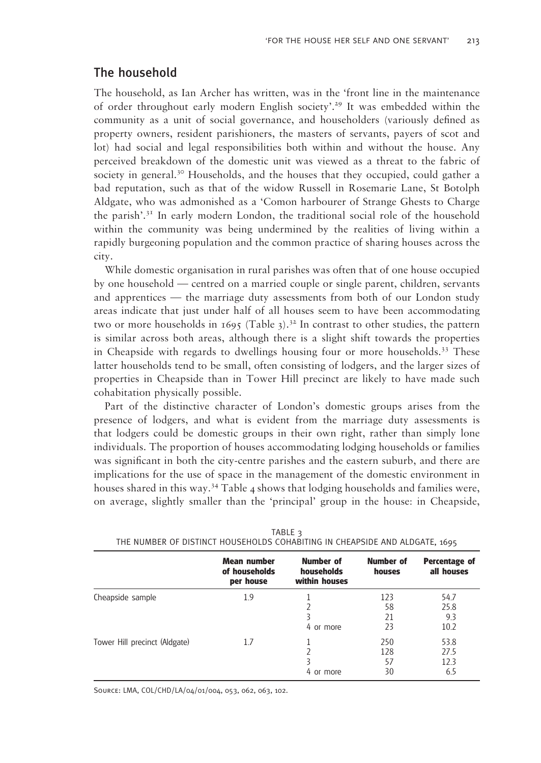#### The household

The household, as Ian Archer has written, was in the 'front line in the maintenance of order throughout early modern English society'.<sup>29</sup> It was embedded within the community as a unit of social governance, and householders (variously defined as property owners, resident parishioners, the masters of servants, payers of scot and lot) had social and legal responsibilities both within and without the house. Any perceived breakdown of the domestic unit was viewed as a threat to the fabric of society in general.<sup>30</sup> Households, and the houses that they occupied, could gather a bad reputation, such as that of the widow Russell in Rosemarie Lane, St Botolph Aldgate, who was admonished as a 'Comon harbourer of Strange Ghests to Charge the parish'.31 In early modern London, the traditional social role of the household within the community was being undermined by the realities of living within a rapidly burgeoning population and the common practice of sharing houses across the city.

While domestic organisation in rural parishes was often that of one house occupied by one household — centred on a married couple or single parent, children, servants and apprentices — the marriage duty assessments from both of our London study areas indicate that just under half of all houses seem to have been accommodating two or more households in 1695 (Table 3).<sup>32</sup> In contrast to other studies, the pattern is similar across both areas, although there is a slight shift towards the properties in Cheapside with regards to dwellings housing four or more households.<sup>33</sup> These latter households tend to be small, often consisting of lodgers, and the larger sizes of properties in Cheapside than in Tower Hill precinct are likely to have made such cohabitation physically possible.

Part of the distinctive character of London's domestic groups arises from the presence of lodgers, and what is evident from the marriage duty assessments is that lodgers could be domestic groups in their own right, rather than simply lone individuals. The proportion of houses accommodating lodging households or families was significant in both the city-centre parishes and the eastern suburb, and there are implications for the use of space in the management of the domestic environment in houses shared in this way.34 Table 4 shows that lodging households and families were, on average, slightly smaller than the 'principal' group in the house: in Cheapside,

|                               | Mean number<br>of households<br>per house | <b>Number of</b><br>households<br>within houses | <b>Number</b> of<br>houses | <b>Percentage of</b><br>all houses |
|-------------------------------|-------------------------------------------|-------------------------------------------------|----------------------------|------------------------------------|
|                               |                                           |                                                 |                            |                                    |
| Cheapside sample              | 1.9                                       |                                                 | 123                        | 54.7                               |
|                               |                                           |                                                 | 58                         | 25.8                               |
|                               |                                           |                                                 | 21                         | 9.3                                |
|                               |                                           | 4 or more                                       | 23                         | 10.2                               |
| Tower Hill precinct (Aldgate) | 1.7                                       |                                                 | 250                        | 53.8                               |
|                               |                                           |                                                 | 128                        | 27.5                               |
|                               |                                           |                                                 | 57                         | 12.3                               |
|                               |                                           | 4<br>or more                                    | 30                         | 6.5                                |

TABLE 3 THE NUMBER OF DISTINCT HOUSEHOLDS COHABITING IN CHEAPSIDE AND ALDGATE, 1695

Source: LMA, COL/CHD/LA/04/01/004, 053, 062, 063, 102.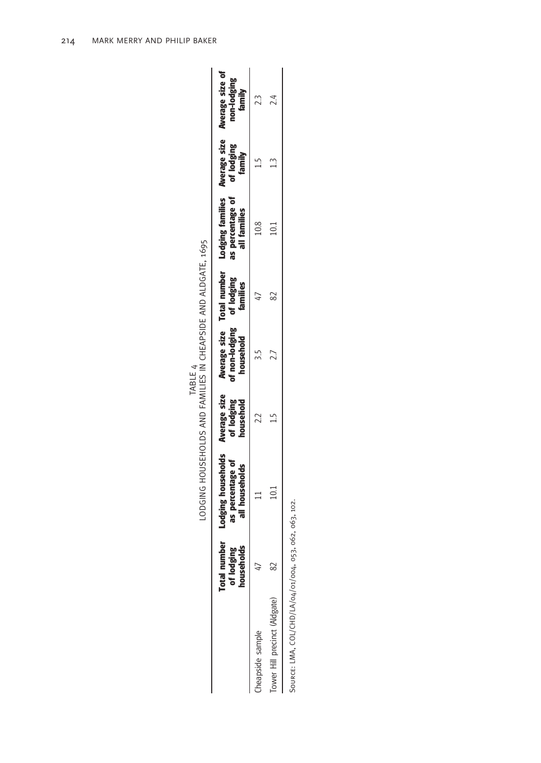| <b>INVERIE HOLICEHOLDS AND EAT</b><br>ת שני<br>J<br>j<br>J<br>j |
|-----------------------------------------------------------------|
|-----------------------------------------------------------------|

|                                                                                                                                                                                                                                                                                                                                                                                                                                                                                                                                                                                           | 호<br>households<br>of lodging<br>Total numb | odging households<br><b>is percentage o</b><br>all household | Nverage size<br>of lodging<br>household | Average size<br>of non-lodging<br>household | <b>Total number</b><br>of lodging<br>families | Lodging families<br>as percentage of<br>all families | Average size<br>of lodging<br>family | Average size of<br>"on-lodging<br>family |
|-------------------------------------------------------------------------------------------------------------------------------------------------------------------------------------------------------------------------------------------------------------------------------------------------------------------------------------------------------------------------------------------------------------------------------------------------------------------------------------------------------------------------------------------------------------------------------------------|---------------------------------------------|--------------------------------------------------------------|-----------------------------------------|---------------------------------------------|-----------------------------------------------|------------------------------------------------------|--------------------------------------|------------------------------------------|
| Cheapside sample                                                                                                                                                                                                                                                                                                                                                                                                                                                                                                                                                                          |                                             |                                                              |                                         | ς.                                          | 47                                            | 10.8                                                 |                                      |                                          |
| Tower Hill precinct (Aldgate)                                                                                                                                                                                                                                                                                                                                                                                                                                                                                                                                                             |                                             | $\Xi$                                                        |                                         |                                             |                                               |                                                      |                                      |                                          |
| $\begin{array}{c} \begin{array}{c} \begin{array}{c} \end{array}\\ \begin{array}{c} \end{array}\\ \begin{array}{c} \end{array}\\ \begin{array}{c} \end{array}\\ \begin{array}{c} \end{array}\\ \begin{array}{c} \end{array}\\ \begin{array}{c} \end{array}\\ \begin{array}{c} \end{array}\\ \begin{array}{c} \end{array}\\ \begin{array}{c} \end{array}\\ \begin{array}{c} \end{array}\\ \begin{array}{c} \end{array}\\ \begin{array}{c} \end{array}\\ \begin{array}{c} \end{array}\\ \begin{array}{c} \end{array}\\ \begin{array}{c} \end{array}\\ \begin{array}{c} \end{array}\\ \begin$ |                                             |                                                              |                                         |                                             |                                               |                                                      |                                      |                                          |

SOURCE: LMA, COL/CHD/LA/04/01/004, 053, 062, 063, 102. Source: LMA, COL/CHD/LA/04/01/004, 053, 062, 063, 102.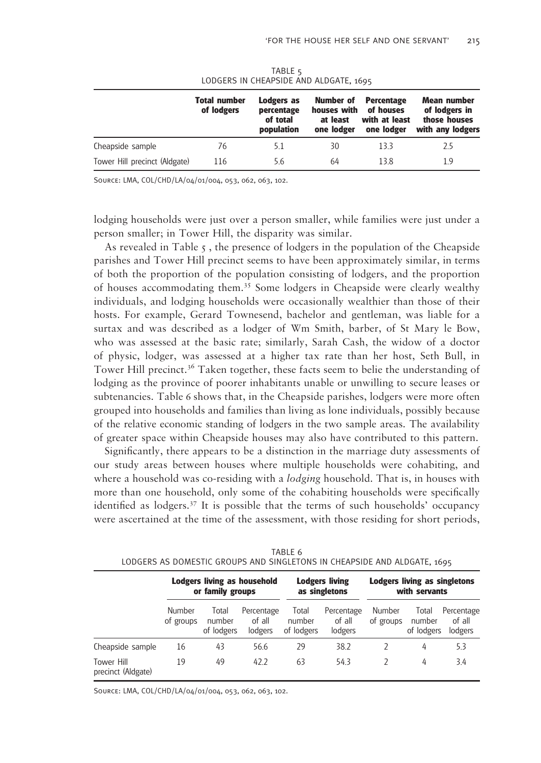|                               |                                   |                                                           | LODGERS IN CHEAPSIDE AND ALDGATE, 1695             |                                                               |                                                                         |
|-------------------------------|-----------------------------------|-----------------------------------------------------------|----------------------------------------------------|---------------------------------------------------------------|-------------------------------------------------------------------------|
|                               | <b>Total number</b><br>of lodgers | <b>Lodgers</b> as<br>percentage<br>of total<br>population | Number of<br>houses with<br>at least<br>one lodger | <b>Percentage</b><br>of houses<br>with at least<br>one lodger | <b>Mean number</b><br>of lodgers in<br>those houses<br>with any lodgers |
| Cheapside sample              | 76                                | 5.1                                                       | 30                                                 | 133                                                           | 25                                                                      |
| Tower Hill precinct (Aldgate) | 116                               | 5.6                                                       | 64                                                 | 13.8                                                          | 1.9                                                                     |

TABLE 5 LODGERS IN CHEAPSIDE AND ALDGATE, 1695

Source: LMA, COL/CHD/LA/04/01/004, 053, 062, 063, 102.

lodging households were just over a person smaller, while families were just under a person smaller; in Tower Hill, the disparity was similar.

As revealed in Table  $\zeta$ , the presence of lodgers in the population of the Cheapside parishes and Tower Hill precinct seems to have been approximately similar, in terms of both the proportion of the population consisting of lodgers, and the proportion of houses accommodating them.35 Some lodgers in Cheapside were clearly wealthy individuals, and lodging households were occasionally wealthier than those of their hosts. For example, Gerard Townesend, bachelor and gentleman, was liable for a surtax and was described as a lodger of Wm Smith, barber, of St Mary le Bow, who was assessed at the basic rate; similarly, Sarah Cash, the widow of a doctor of physic, lodger, was assessed at a higher tax rate than her host, Seth Bull, in Tower Hill precinct.<sup>36</sup> Taken together, these facts seem to belie the understanding of lodging as the province of poorer inhabitants unable or unwilling to secure leases or subtenancies. Table 6 shows that, in the Cheapside parishes, lodgers were more often grouped into households and families than living as lone individuals, possibly because of the relative economic standing of lodgers in the two sample areas. The availability of greater space within Cheapside houses may also have contributed to this pattern.

Significantly, there appears to be a distinction in the marriage duty assessments of our study areas between houses where multiple households were cohabiting, and where a household was co-residing with a *lodging* household. That is, in houses with more than one household, only some of the cohabiting households were specifically identified as lodgers.<sup>37</sup> It is possible that the terms of such households' occupancy were ascertained at the time of the assessment, with those residing for short periods,

|                                         |                     | or family groups              | Lodgers living as household     |                               | <b>Lodgers living</b><br>as singletons | <b>Lodgers living as singletons</b><br>with servants |                               |                                 |  |
|-----------------------------------------|---------------------|-------------------------------|---------------------------------|-------------------------------|----------------------------------------|------------------------------------------------------|-------------------------------|---------------------------------|--|
|                                         | Number<br>of groups | Total<br>number<br>of lodgers | Percentage<br>of all<br>lodgers | Total<br>number<br>of lodgers | Percentage<br>of all<br>lodgers        | Number<br>of groups                                  | Total<br>number<br>of lodgers | Percentage<br>of all<br>lodgers |  |
| Cheapside sample                        | 16                  | 43                            | 56.6                            | 29                            | 38.2                                   |                                                      | 4                             | 5.3                             |  |
| <b>Tower Hill</b><br>precinct (Aldgate) | 19                  | 49                            | 42.2                            | 63                            | 543                                    |                                                      | 4                             | 3.4                             |  |

TABLE 6 LODGERS AS DOMESTIC GROUPS AND SINGLETONS IN CHEAPSIDE AND ALDGATE, 1695

Source: LMA, COL/CHD/LA/04/01/004, 053, 062, 063, 102.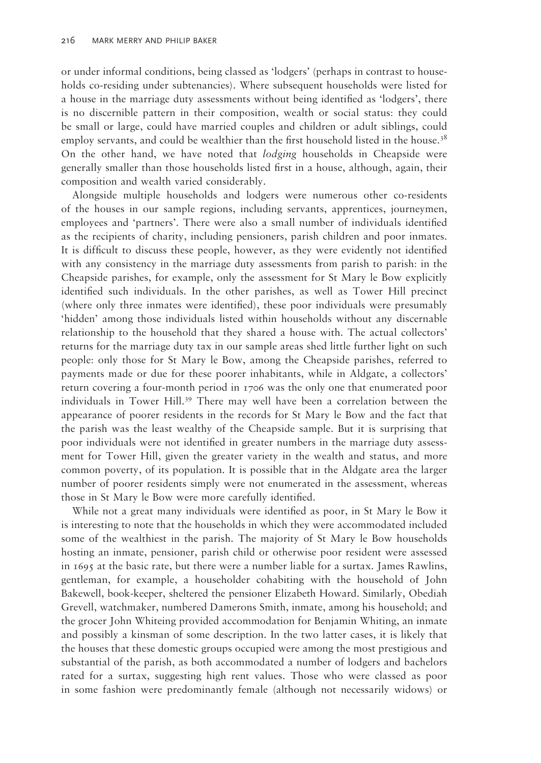or under informal conditions, being classed as 'lodgers' (perhaps in contrast to households co-residing under subtenancies). Where subsequent households were listed for a house in the marriage duty assessments without being identified as 'lodgers', there is no discernible pattern in their composition, wealth or social status: they could be small or large, could have married couples and children or adult siblings, could employ servants, and could be wealthier than the first household listed in the house.<sup>38</sup> On the other hand, we have noted that *lodging* households in Cheapside were generally smaller than those households listed first in a house, although, again, their composition and wealth varied considerably.

Alongside multiple households and lodgers were numerous other co-residents of the houses in our sample regions, including servants, apprentices, journeymen, employees and 'partners'. There were also a small number of individuals identified as the recipients of charity, including pensioners, parish children and poor inmates. It is difficult to discuss these people, however, as they were evidently not identified with any consistency in the marriage duty assessments from parish to parish: in the Cheapside parishes, for example, only the assessment for St Mary le Bow explicitly identified such individuals. In the other parishes, as well as Tower Hill precinct (where only three inmates were identified), these poor individuals were presumably 'hidden' among those individuals listed within households without any discernable relationship to the household that they shared a house with. The actual collectors' returns for the marriage duty tax in our sample areas shed little further light on such people: only those for St Mary le Bow, among the Cheapside parishes, referred to payments made or due for these poorer inhabitants, while in Aldgate, a collectors' return covering a four-month period in 1706 was the only one that enumerated poor individuals in Tower Hill.<sup>39</sup> There may well have been a correlation between the appearance of poorer residents in the records for St Mary le Bow and the fact that the parish was the least wealthy of the Cheapside sample. But it is surprising that poor individuals were not identified in greater numbers in the marriage duty assessment for Tower Hill, given the greater variety in the wealth and status, and more common poverty, of its population. It is possible that in the Aldgate area the larger number of poorer residents simply were not enumerated in the assessment, whereas those in St Mary le Bow were more carefully identified.

While not a great many individuals were identified as poor, in St Mary le Bow it is interesting to note that the households in which they were accommodated included some of the wealthiest in the parish. The majority of St Mary le Bow households hosting an inmate, pensioner, parish child or otherwise poor resident were assessed in 1695 at the basic rate, but there were a number liable for a surtax. James Rawlins, gentleman, for example, a householder cohabiting with the household of John Bakewell, book-keeper, sheltered the pensioner Elizabeth Howard. Similarly, Obediah Grevell, watchmaker, numbered Damerons Smith, inmate, among his household; and the grocer John Whiteing provided accommodation for Benjamin Whiting, an inmate and possibly a kinsman of some description. In the two latter cases, it is likely that the houses that these domestic groups occupied were among the most prestigious and substantial of the parish, as both accommodated a number of lodgers and bachelors rated for a surtax, suggesting high rent values. Those who were classed as poor in some fashion were predominantly female (although not necessarily widows) or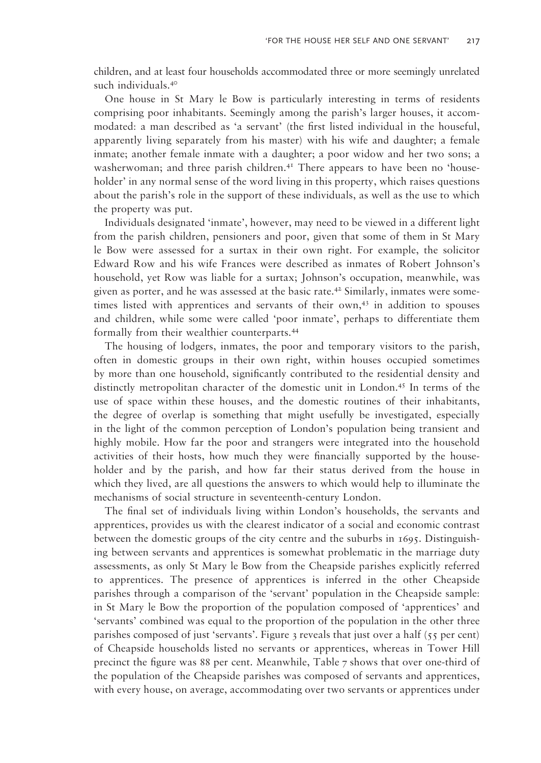children, and at least four households accommodated three or more seemingly unrelated such individuals.<sup>40</sup>

One house in St Mary le Bow is particularly interesting in terms of residents comprising poor inhabitants. Seemingly among the parish's larger houses, it accommodated: a man described as 'a servant' (the first listed individual in the houseful, apparently living separately from his master) with his wife and daughter; a female inmate; another female inmate with a daughter; a poor widow and her two sons; a washerwoman; and three parish children.<sup>41</sup> There appears to have been no 'householder' in any normal sense of the word living in this property, which raises questions about the parish's role in the support of these individuals, as well as the use to which the property was put.

Individuals designated 'inmate', however, may need to be viewed in a different light from the parish children, pensioners and poor, given that some of them in St Mary le Bow were assessed for a surtax in their own right. For example, the solicitor Edward Row and his wife Frances were described as inmates of Robert Johnson's household, yet Row was liable for a surtax; Johnson's occupation, meanwhile, was given as porter, and he was assessed at the basic rate.<sup>42</sup> Similarly, inmates were sometimes listed with apprentices and servants of their  $own<sub>1</sub><sup>43</sup>$  in addition to spouses and children, while some were called 'poor inmate', perhaps to differentiate them formally from their wealthier counterparts.44

The housing of lodgers, inmates, the poor and temporary visitors to the parish, often in domestic groups in their own right, within houses occupied sometimes by more than one household, significantly contributed to the residential density and distinctly metropolitan character of the domestic unit in London.45 In terms of the use of space within these houses, and the domestic routines of their inhabitants, the degree of overlap is something that might usefully be investigated, especially in the light of the common perception of London's population being transient and highly mobile. How far the poor and strangers were integrated into the household activities of their hosts, how much they were financially supported by the householder and by the parish, and how far their status derived from the house in which they lived, are all questions the answers to which would help to illuminate the mechanisms of social structure in seventeenth-century London.

The final set of individuals living within London's households, the servants and apprentices, provides us with the clearest indicator of a social and economic contrast between the domestic groups of the city centre and the suburbs in 1695. Distinguishing between servants and apprentices is somewhat problematic in the marriage duty assessments, as only St Mary le Bow from the Cheapside parishes explicitly referred to apprentices. The presence of apprentices is inferred in the other Cheapside parishes through a comparison of the 'servant' population in the Cheapside sample: in St Mary le Bow the proportion of the population composed of 'apprentices' and 'servants' combined was equal to the proportion of the population in the other three parishes composed of just 'servants'. Figure 3 reveals that just over a half (55 per cent) of Cheapside households listed no servants or apprentices, whereas in Tower Hill precinct the figure was 88 per cent. Meanwhile, Table  $\tau$  shows that over one-third of the population of the Cheapside parishes was composed of servants and apprentices, with every house, on average, accommodating over two servants or apprentices under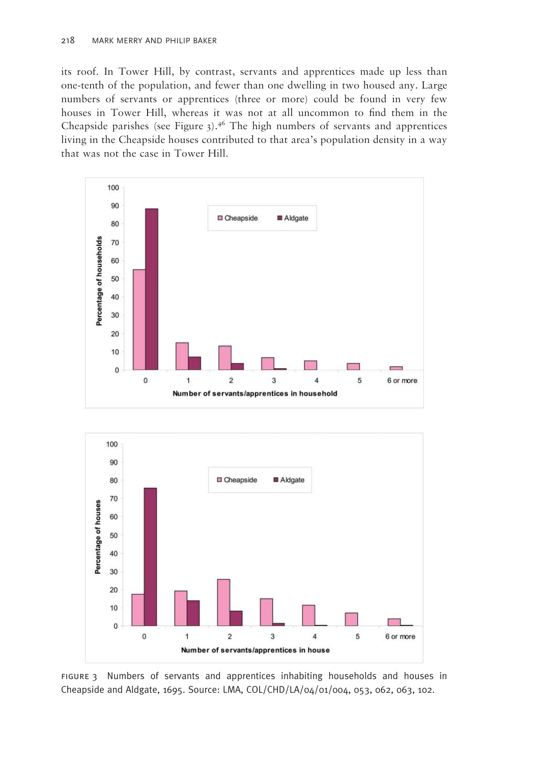its roof. In Tower Hill, by contrast, servants and apprentices made up less than one-tenth of the population, and fewer than one dwelling in two housed any. Large numbers of servants or apprentices (three or more) could be found in very few houses in Tower Hill, whereas it was not at all uncommon to find them in the Cheapside parishes (see Figure 3).46 The high numbers of servants and apprentices living in the Cheapside houses contributed to that area's population density in a way that was not the case in Tower Hill.





FIGURE 3 Numbers of servants and apprentices inhabiting households and houses in Cheapside and Aldgate, 1695. Source: LMA, COL/CHD/LA/04/01/004, 053, 062, 063, 102.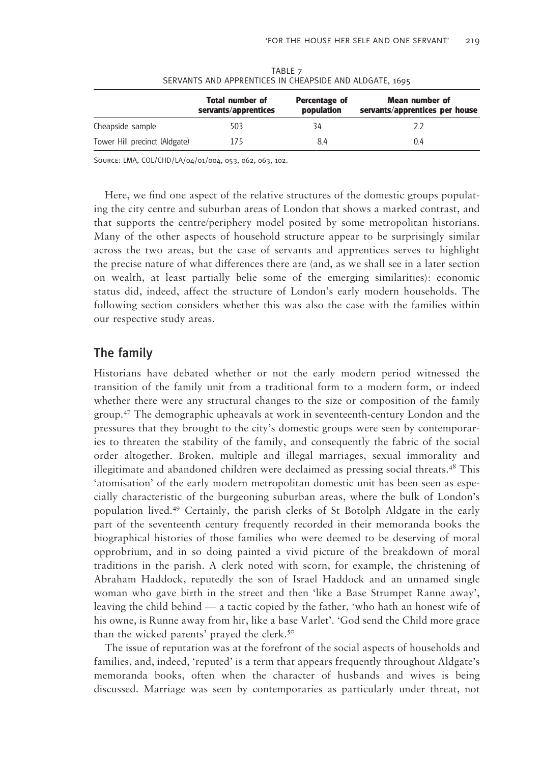|                               | <b>Total number of</b><br>servants/apprentices | <b>Percentage of</b><br>population | Mean number of<br>servants/apprentices per house |  |  |  |  |
|-------------------------------|------------------------------------------------|------------------------------------|--------------------------------------------------|--|--|--|--|
| Cheapside sample              | 503                                            | 34                                 | 22                                               |  |  |  |  |
| Tower Hill precinct (Aldgate) | 175                                            | 84                                 | 0.4                                              |  |  |  |  |

| TABLE <sub>7</sub>                                      |  |
|---------------------------------------------------------|--|
| SERVANTS AND APPRENTICES IN CHEAPSIDE AND ALDGATE, 1695 |  |

Source: LMA, COL/CHD/LA/04/01/004, 053, 062, 063, 102.

Here, we find one aspect of the relative structures of the domestic groups populating the city centre and suburban areas of London that shows a marked contrast, and that supports the centre/periphery model posited by some metropolitan historians. Many of the other aspects of household structure appear to be surprisingly similar across the two areas, but the case of servants and apprentices serves to highlight the precise nature of what differences there are (and, as we shall see in a later section on wealth, at least partially belie some of the emerging similarities): economic status did, indeed, affect the structure of London's early modern households. The following section considers whether this was also the case with the families within our respective study areas.

#### The family

Historians have debated whether or not the early modern period witnessed the transition of the family unit from a traditional form to a modern form, or indeed whether there were any structural changes to the size or composition of the family group.47 The demographic upheavals at work in seventeenth-century London and the pressures that they brought to the city's domestic groups were seen by contemporaries to threaten the stability of the family, and consequently the fabric of the social order altogether. Broken, multiple and illegal marriages, sexual immorality and illegitimate and abandoned children were declaimed as pressing social threats.48 This 'atomisation' of the early modern metropolitan domestic unit has been seen as especially characteristic of the burgeoning suburban areas, where the bulk of London's population lived.49 Certainly, the parish clerks of St Botolph Aldgate in the early part of the seventeenth century frequently recorded in their memoranda books the biographical histories of those families who were deemed to be deserving of moral opprobrium, and in so doing painted a vivid picture of the breakdown of moral traditions in the parish. A clerk noted with scorn, for example, the christening of Abraham Haddock, reputedly the son of Israel Haddock and an unnamed single woman who gave birth in the street and then 'like a Base Strumpet Ranne away', leaving the child behind — a tactic copied by the father, 'who hath an honest wife of his owne, is Runne away from hir, like a base Varlet'. 'God send the Child more grace than the wicked parents' prayed the clerk.<sup>50</sup>

The issue of reputation was at the forefront of the social aspects of households and families, and, indeed, 'reputed' is a term that appears frequently throughout Aldgate's memoranda books, often when the character of husbands and wives is being discussed. Marriage was seen by contemporaries as particularly under threat, not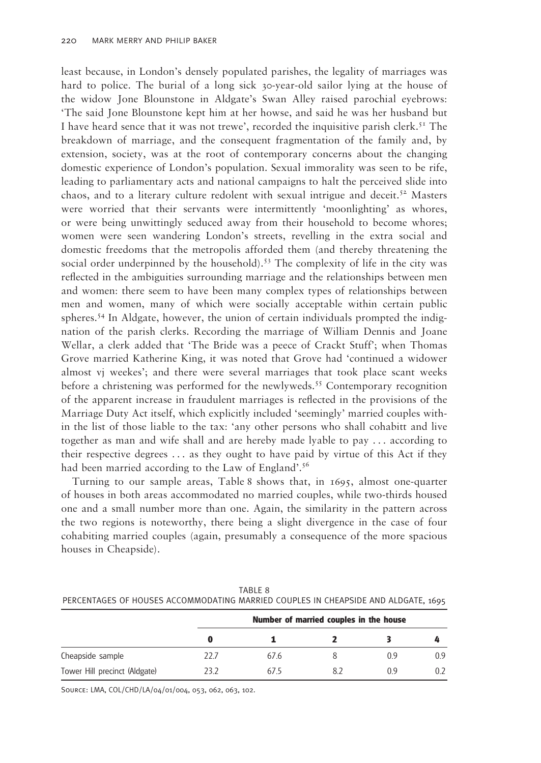least because, in London's densely populated parishes, the legality of marriages was hard to police. The burial of a long sick 30-year-old sailor lying at the house of the widow Jone Blounstone in Aldgate's Swan Alley raised parochial eyebrows: 'The said Jone Blounstone kept him at her howse, and said he was her husband but I have heard sence that it was not trewe', recorded the inquisitive parish clerk.<sup>51</sup> The breakdown of marriage, and the consequent fragmentation of the family and, by extension, society, was at the root of contemporary concerns about the changing domestic experience of London's population. Sexual immorality was seen to be rife, leading to parliamentary acts and national campaigns to halt the perceived slide into chaos, and to a literary culture redolent with sexual intrigue and deceit.<sup>52</sup> Masters were worried that their servants were intermittently 'moonlighting' as whores, or were being unwittingly seduced away from their household to become whores; women were seen wandering London's streets, revelling in the extra social and domestic freedoms that the metropolis afforded them (and thereby threatening the social order underpinned by the household).<sup>53</sup> The complexity of life in the city was reflected in the ambiguities surrounding marriage and the relationships between men and women: there seem to have been many complex types of relationships between men and women, many of which were socially acceptable within certain public spheres.54 In Aldgate, however, the union of certain individuals prompted the indignation of the parish clerks. Recording the marriage of William Dennis and Joane Wellar, a clerk added that 'The Bride was a peece of Crackt Stuff'; when Thomas Grove married Katherine King, it was noted that Grove had 'continued a widower almost vj weekes'; and there were several marriages that took place scant weeks before a christening was performed for the newlyweds.55 Contemporary recognition of the apparent increase in fraudulent marriages is reflected in the provisions of the Marriage Duty Act itself, which explicitly included 'seemingly' married couples within the list of those liable to the tax: 'any other persons who shall cohabitt and live together as man and wife shall and are hereby made lyable to pay . . . according to their respective degrees . . . as they ought to have paid by virtue of this Act if they had been married according to the Law of England'.<sup>56</sup>

Turning to our sample areas, Table 8 shows that, in 1695, almost one-quarter of houses in both areas accommodated no married couples, while two-thirds housed one and a small number more than one. Again, the similarity in the pattern across the two regions is noteworthy, there being a slight divergence in the case of four cohabiting married couples (again, presumably a consequence of the more spacious houses in Cheapside).

|                               |      |      | Number of married couples in the house |     |     |
|-------------------------------|------|------|----------------------------------------|-----|-----|
|                               | o    |      |                                        |     |     |
| Cheapside sample              | 22.7 | 67.6 |                                        | 0.9 | 0.9 |
| Tower Hill precinct (Aldgate) | 737  | 675  | 87                                     | 0.9 | 0.2 |

TABLE 8 PERCENTAGES OF HOUSES ACCOMMODATING MARRIED COUPLES IN CHEAPSIDE AND ALDGATE, 1695

Source: LMA, COL/CHD/LA/04/01/004, 053, 062, 063, 102.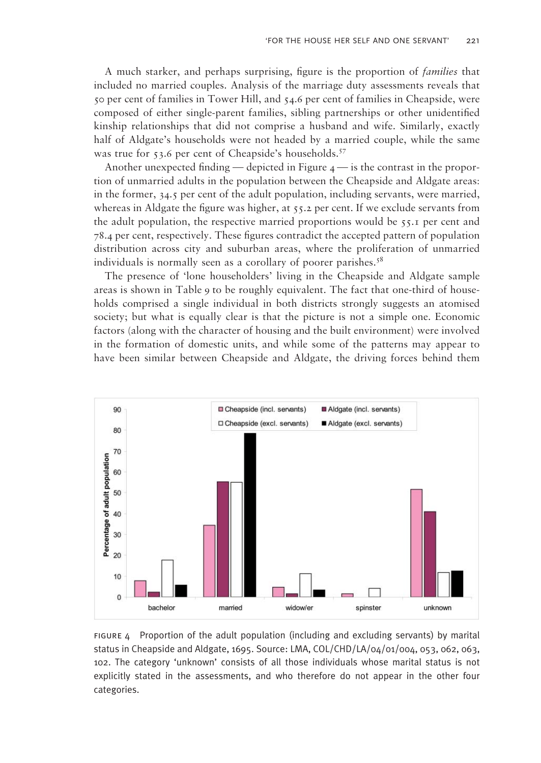A much starker, and perhaps surprising, figure is the proportion of *families* that included no married couples. Analysis of the marriage duty assessments reveals that 50 per cent of families in Tower Hill, and 54.6 per cent of families in Cheapside, were composed of either single-parent families, sibling partnerships or other unidentified kinship relationships that did not comprise a husband and wife. Similarly, exactly half of Aldgate's households were not headed by a married couple, while the same was true for 53.6 per cent of Cheapside's households.<sup>57</sup>

Another unexpected finding — depicted in Figure  $4$  — is the contrast in the proportion of unmarried adults in the population between the Cheapside and Aldgate areas: in the former, 34.5 per cent of the adult population, including servants, were married, whereas in Aldgate the figure was higher, at  $55.2$  per cent. If we exclude servants from the adult population, the respective married proportions would be  $55.1$  per cent and 78.4 per cent, respectively. These figures contradict the accepted pattern of population distribution across city and suburban areas, where the proliferation of unmarried individuals is normally seen as a corollary of poorer parishes.<sup>58</sup>

The presence of 'lone householders' living in the Cheapside and Aldgate sample areas is shown in Table 9 to be roughly equivalent. The fact that one-third of households comprised a single individual in both districts strongly suggests an atomised society; but what is equally clear is that the picture is not a simple one. Economic factors (along with the character of housing and the built environment) were involved in the formation of domestic units, and while some of the patterns may appear to have been similar between Cheapside and Aldgate, the driving forces behind them



FIGURE 4 Proportion of the adult population (including and excluding servants) by marital status in Cheapside and Aldgate, 1695. Source: LMA, COL/CHD/LA/04/01/004, 053, 062, 063, 102. The category 'unknown' consists of all those individuals whose marital status is not explicitly stated in the assessments, and who therefore do not appear in the other four categories.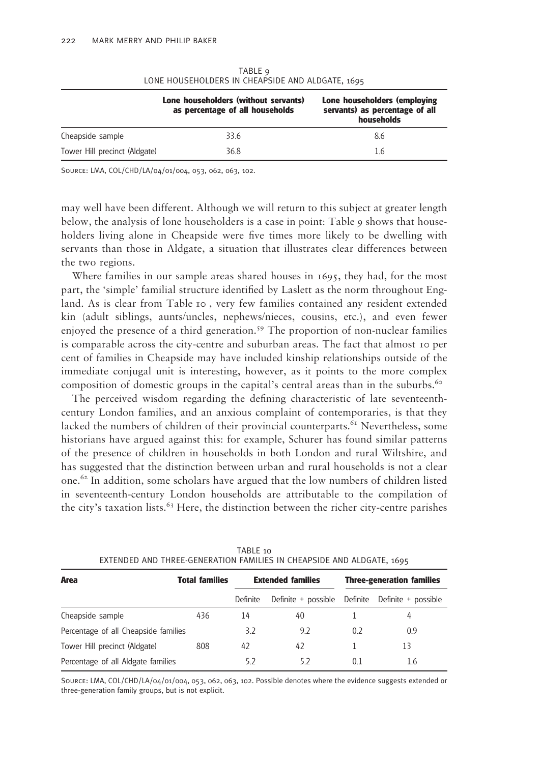|                               | Lone householders (without servants)<br>as percentage of all households | Lone householders (employing<br>servants) as percentage of all<br>households |
|-------------------------------|-------------------------------------------------------------------------|------------------------------------------------------------------------------|
| Cheapside sample              | 33.6                                                                    | 8.6                                                                          |
| Tower Hill precinct (Aldgate) | 36.8                                                                    | 1.6                                                                          |

|                                                  | TABLE 9 |  |  |
|--------------------------------------------------|---------|--|--|
| LONE HOUSEHOLDERS IN CHEAPSIDE AND ALDGATE, 1695 |         |  |  |

Source: LMA, COL/CHD/LA/04/01/004, 053, 062, 063, 102.

may well have been different. Although we will return to this subject at greater length below, the analysis of lone householders is a case in point: Table 9 shows that householders living alone in Cheapside were five times more likely to be dwelling with servants than those in Aldgate, a situation that illustrates clear differences between the two regions.

Where families in our sample areas shared houses in 1695, they had, for the most part, the 'simple' familial structure identified by Laslett as the norm throughout England. As is clear from Table 10 , very few families contained any resident extended kin (adult siblings, aunts/uncles, nephews/nieces, cousins, etc.), and even fewer enjoyed the presence of a third generation.<sup>59</sup> The proportion of non-nuclear families is comparable across the city-centre and suburban areas. The fact that almost 10 per cent of families in Cheapside may have included kinship relationships outside of the immediate conjugal unit is interesting, however, as it points to the more complex composition of domestic groups in the capital's central areas than in the suburbs.<sup>60</sup>

The perceived wisdom regarding the defining characteristic of late seventeenthcentury London families, and an anxious complaint of contemporaries, is that they lacked the numbers of children of their provincial counterparts.<sup>61</sup> Nevertheless, some historians have argued against this: for example, Schurer has found similar patterns of the presence of children in households in both London and rural Wiltshire, and has suggested that the distinction between urban and rural households is not a clear one.<sup>62</sup> In addition, some scholars have argued that the low numbers of children listed in seventeenth-century London households are attributable to the compilation of the city's taxation lists.<sup>63</sup> Here, the distinction between the richer city-centre parishes

| Area                                 | <b>Total families</b> | <b>Extended families</b> |    | <b>Three-generation families</b> |                                                  |
|--------------------------------------|-----------------------|--------------------------|----|----------------------------------|--------------------------------------------------|
|                                      |                       | Definite                 |    |                                  | Definite + possible Definite Definite + possible |
| Cheapside sample                     | 436                   | 14                       | 40 |                                  | 4                                                |
| Percentage of all Cheapside families |                       | 3.2                      | 97 | 0.2                              | 0.9                                              |
| Tower Hill precinct (Aldgate)        | 808                   | 42                       | 42 |                                  | 13                                               |
| Percentage of all Aldgate families   |                       | 52                       | 52 | 01                               | 1.6                                              |

TABLE 10 EXTENDED AND THREE-GENERATION FAMILIES IN CHEAPSIDE AND ALDGATE, 1695

Source: LMA, COL/CHD/LA/04/01/004, 053, 062, 063, 102. Possible denotes where the evidence suggests extended or three-generation family groups, but is not explicit.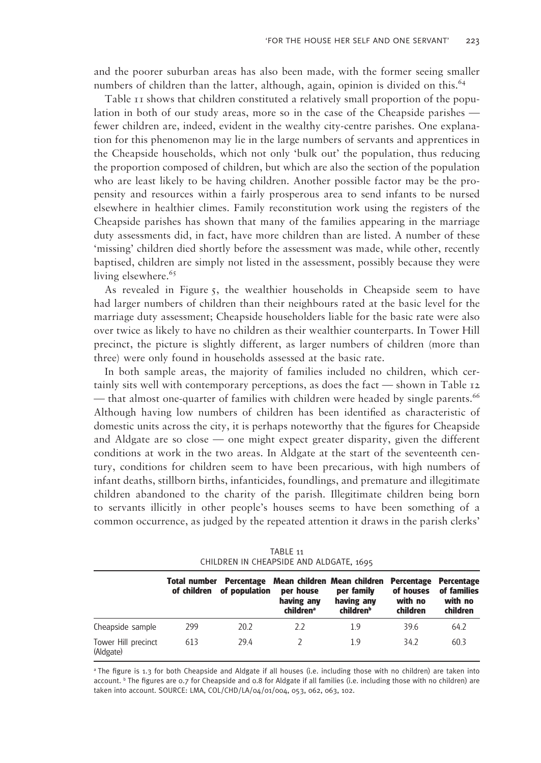and the poorer suburban areas has also been made, with the former seeing smaller numbers of children than the latter, although, again, opinion is divided on this.<sup>64</sup>

Table 11 shows that children constituted a relatively small proportion of the population in both of our study areas, more so in the case of the Cheapside parishes fewer children are, indeed, evident in the wealthy city-centre parishes. One explanation for this phenomenon may lie in the large numbers of servants and apprentices in the Cheapside households, which not only 'bulk out' the population, thus reducing the proportion composed of children, but which are also the section of the population who are least likely to be having children. Another possible factor may be the propensity and resources within a fairly prosperous area to send infants to be nursed elsewhere in healthier climes. Family reconstitution work using the registers of the Cheapside parishes has shown that many of the families appearing in the marriage duty assessments did, in fact, have more children than are listed. A number of these 'missing' children died shortly before the assessment was made, while other, recently baptised, children are simply not listed in the assessment, possibly because they were living elsewhere.<sup>65</sup>

As revealed in Figure 5, the wealthier households in Cheapside seem to have had larger numbers of children than their neighbours rated at the basic level for the marriage duty assessment; Cheapside householders liable for the basic rate were also over twice as likely to have no children as their wealthier counterparts. In Tower Hill precinct, the picture is slightly different, as larger numbers of children (more than three) were only found in households assessed at the basic rate.

In both sample areas, the majority of families included no children, which certainly sits well with contemporary perceptions, as does the fact — shown in Table 12 — that almost one-quarter of families with children were headed by single parents.<sup>66</sup> Although having low numbers of children has been identified as characteristic of domestic units across the city, it is perhaps noteworthy that the figures for Cheapside and Aldgate are so close — one might expect greater disparity, given the different conditions at work in the two areas. In Aldgate at the start of the seventeenth century, conditions for children seem to have been precarious, with high numbers of infant deaths, stillborn births, infanticides, foundlings, and premature and illegitimate children abandoned to the charity of the parish. Illegitimate children being born to servants illicitly in other people's houses seems to have been something of a common occurrence, as judged by the repeated attention it draws in the parish clerks'

|                                  | <b>Total number</b><br>of children | Percentage<br>of population | per house<br>having any<br>children <sup>a</sup> | Mean children Mean children<br>per family<br>having any<br>children <sup>b</sup> | Percentage<br>of houses<br>with no<br>children | <b>Percentage</b><br>of families<br>with no<br>children |
|----------------------------------|------------------------------------|-----------------------------|--------------------------------------------------|----------------------------------------------------------------------------------|------------------------------------------------|---------------------------------------------------------|
| Cheapside sample                 | 299                                | 20.2                        | 22                                               | 19                                                                               | 39.6                                           | 64.2                                                    |
| Tower Hill precinct<br>(Aldgate) | 613                                | 294                         |                                                  | 19                                                                               | 342                                            | 60.3                                                    |

TABLE 11 CHILDREN IN CHEAPSIDE AND ALDGATE, 1695

 $^{\rm a}$  The figure is 1.3 for both Cheapside and Aldgate if all houses (i.e. including those with no children) are taken into account. b The figures are 0.7 for Cheapside and 0.8 for Aldgate if all families (i.e. including those with no children) are taken into account. SOURCE: LMA, COL/CHD/LA/04/01/004, 053, 062, 063, 102.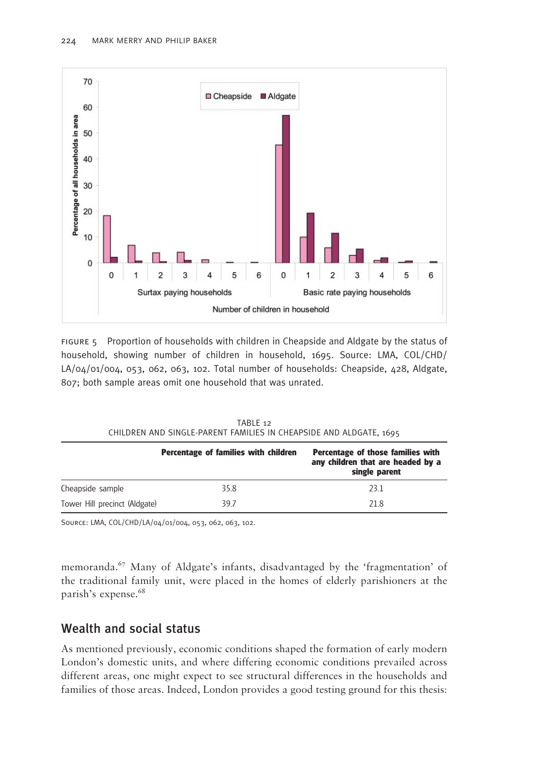

FIGURE 5 Proportion of households with children in Cheapside and Aldgate by the status of household, showing number of children in household, 1695. Source: LMA, COL/CHD/ LA/04/01/004, 053, 062, 063, 102. Total number of households: Cheapside, 428, Aldgate, 807; both sample areas omit one household that was unrated.

| Percentage of families with children | Percentage of those families with<br>any children that are headed by a<br>single parent |
|--------------------------------------|-----------------------------------------------------------------------------------------|
| 35.8                                 | 231                                                                                     |
| Tower Hill precinct (Aldgate)<br>397 | 21.8                                                                                    |
|                                      |                                                                                         |

TABLE 12 CHILDREN AND SINGLE-PARENT FAMILIES IN CHEAPSIDE AND ALDGATE, 1695

Source: LMA, COL/CHD/LA/04/01/004, 053, 062, 063, 102.

memoranda.<sup>67</sup> Many of Aldgate's infants, disadvantaged by the 'fragmentation' of the traditional family unit, were placed in the homes of elderly parishioners at the parish's expense.<sup>68</sup>

## Wealth and social status

As mentioned previously, economic conditions shaped the formation of early modern London's domestic units, and where differing economic conditions prevailed across different areas, one might expect to see structural differences in the households and families of those areas. Indeed, London provides a good testing ground for this thesis: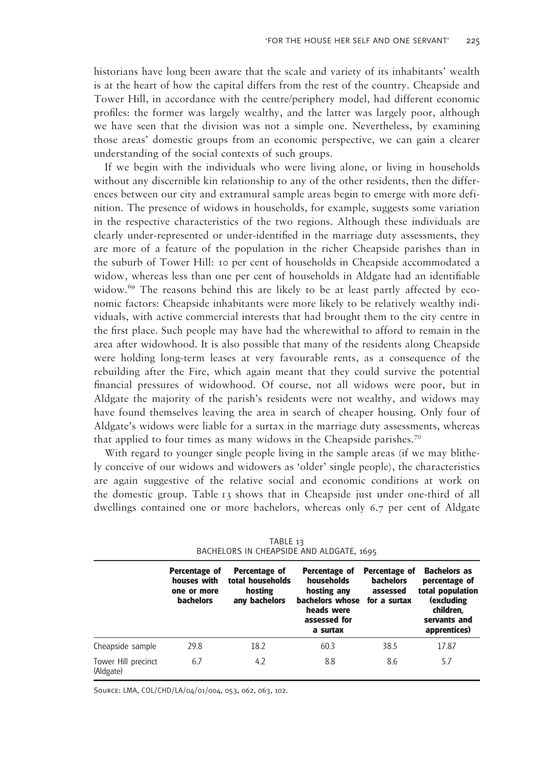historians have long been aware that the scale and variety of its inhabitants' wealth is at the heart of how the capital differs from the rest of the country. Cheapside and Tower Hill, in accordance with the centre/periphery model, had different economic profiles: the former was largely wealthy, and the latter was largely poor, although we have seen that the division was not a simple one. Nevertheless, by examining those areas' domestic groups from an economic perspective, we can gain a clearer understanding of the social contexts of such groups.

If we begin with the individuals who were living alone, or living in households without any discernible kin relationship to any of the other residents, then the differences between our city and extramural sample areas begin to emerge with more definition. The presence of widows in households, for example, suggests some variation in the respective characteristics of the two regions. Although these individuals are clearly under-represented or under-identified in the marriage duty assessments, they are more of a feature of the population in the richer Cheapside parishes than in the suburb of Tower Hill: 10 per cent of households in Cheapside accommodated a widow, whereas less than one per cent of households in Aldgate had an identifiable widow.<sup>69</sup> The reasons behind this are likely to be at least partly affected by economic factors: Cheapside inhabitants were more likely to be relatively wealthy individuals, with active commercial interests that had brought them to the city centre in the first place. Such people may have had the wherewithal to afford to remain in the area after widowhood. It is also possible that many of the residents along Cheapside were holding long-term leases at very favourable rents, as a consequence of the rebuilding after the Fire, which again meant that they could survive the potential financial pressures of widowhood. Of course, not all widows were poor, but in Aldgate the majority of the parish's residents were not wealthy, and widows may have found themselves leaving the area in search of cheaper housing. Only four of Aldgate's widows were liable for a surtax in the marriage duty assessments, whereas that applied to four times as many widows in the Cheapside parishes.<sup>70</sup>

With regard to younger single people living in the sample areas (if we may blithely conceive of our widows and widowers as 'older' single people), the characteristics are again suggestive of the relative social and economic conditions at work on the domestic group. Table 13 shows that in Cheapside just under one-third of all dwellings contained one or more bachelors, whereas only 6.7 per cent of Aldgate

|                                  | Percentage of<br>houses with<br>one or more<br>bachelors | Percentage of<br>total households<br>hosting<br>any bachelors | <b>Percentage of</b><br>households<br>hosting any<br><b>bachelors</b> whose<br>heads were<br>assessed for<br>a surtax | <b>Percentage of</b><br><b>bachelors</b><br>assessed<br>for a surtax | <b>Bachelors as</b><br>percentage of<br>total population<br>(excluding<br>children.<br>servants and<br>apprentices) |
|----------------------------------|----------------------------------------------------------|---------------------------------------------------------------|-----------------------------------------------------------------------------------------------------------------------|----------------------------------------------------------------------|---------------------------------------------------------------------------------------------------------------------|
| Cheapside sample                 | 29.8                                                     | 18.2                                                          | 60.3                                                                                                                  | 38.5                                                                 | 17.87                                                                                                               |
| Tower Hill precinct<br>(Aldgate) | 6.7                                                      | 4.2                                                           | 8.8                                                                                                                   | 8.6                                                                  | 5.7                                                                                                                 |

TABLE 13 BACHELORS IN CHEAPSIDE AND ALDGATE, 1695

Source: LMA, COL/CHD/LA/04/01/004, 053, 062, 063, 102.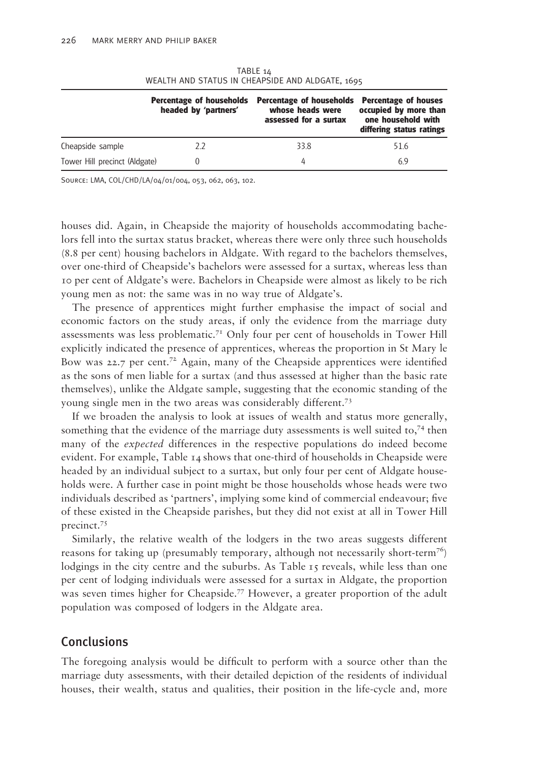|                               | <b>Percentage of households</b><br>headed by 'partners' | <b>Percentage of households</b><br>whose heads were<br>assessed for a surtax | <b>Percentage of houses</b><br>occupied by more than<br>one household with<br>differing status ratings |
|-------------------------------|---------------------------------------------------------|------------------------------------------------------------------------------|--------------------------------------------------------------------------------------------------------|
| Cheapside sample              | 22                                                      | 33.8                                                                         | 51.6                                                                                                   |
| Tower Hill precinct (Aldgate) |                                                         | 4                                                                            | 6.9                                                                                                    |

TABLE 14 WEALTH AND STATUS IN CHEAPSIDE AND ALDGATE, 1695

Source: LMA, COL/CHD/LA/04/01/004, 053, 062, 063, 102.

houses did. Again, in Cheapside the majority of households accommodating bachelors fell into the surtax status bracket, whereas there were only three such households (8.8 per cent) housing bachelors in Aldgate. With regard to the bachelors themselves, over one-third of Cheapside's bachelors were assessed for a surtax, whereas less than 10 per cent of Aldgate's were. Bachelors in Cheapside were almost as likely to be rich young men as not: the same was in no way true of Aldgate's.

The presence of apprentices might further emphasise the impact of social and economic factors on the study areas, if only the evidence from the marriage duty assessments was less problematic.71 Only four per cent of households in Tower Hill explicitly indicated the presence of apprentices, whereas the proportion in St Mary le Bow was 22.7 per cent.<sup>72</sup> Again, many of the Cheapside apprentices were identified as the sons of men liable for a surtax (and thus assessed at higher than the basic rate themselves), unlike the Aldgate sample, suggesting that the economic standing of the young single men in the two areas was considerably different.73

If we broaden the analysis to look at issues of wealth and status more generally, something that the evidence of the marriage duty assessments is well suited to, $74$  then many of the *expected* differences in the respective populations do indeed become evident. For example, Table 14 shows that one-third of households in Cheapside were headed by an individual subject to a surtax, but only four per cent of Aldgate households were. A further case in point might be those households whose heads were two individuals described as 'partners', implying some kind of commercial endeavour; five of these existed in the Cheapside parishes, but they did not exist at all in Tower Hill precinct.75

Similarly, the relative wealth of the lodgers in the two areas suggests different reasons for taking up (presumably temporary, although not necessarily short-term<sup>76</sup>) lodgings in the city centre and the suburbs. As Table 15 reveals, while less than one per cent of lodging individuals were assessed for a surtax in Aldgate, the proportion was seven times higher for Cheapside.<sup>77</sup> However, a greater proportion of the adult population was composed of lodgers in the Aldgate area.

### Conclusions

The foregoing analysis would be difficult to perform with a source other than the marriage duty assessments, with their detailed depiction of the residents of individual houses, their wealth, status and qualities, their position in the life-cycle and, more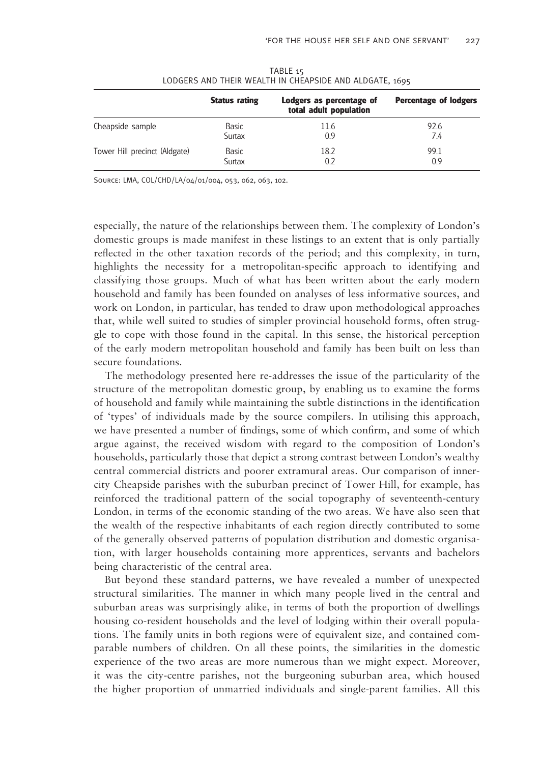|                               | <b>Status rating</b> | Lodgers as percentage of<br>total adult population | <b>Percentage of lodgers</b> |
|-------------------------------|----------------------|----------------------------------------------------|------------------------------|
| Cheapside sample              | Basic                | 11.6                                               | 92.6                         |
|                               | Surtax               | 0.9                                                | 7.4                          |
| Tower Hill precinct (Aldgate) | Basic                | 18.2                                               | 99.1                         |
|                               | Surtax               | 0.2                                                | 0.9                          |

TABLE 15 LODGERS AND THEIR WEALTH IN CHEAPSIDE AND ALDGATE, 1695

Source: LMA, COL/CHD/LA/04/01/004, 053, 062, 063, 102.

especially, the nature of the relationships between them. The complexity of London's domestic groups is made manifest in these listings to an extent that is only partially reflected in the other taxation records of the period; and this complexity, in turn, highlights the necessity for a metropolitan-specific approach to identifying and classifying those groups. Much of what has been written about the early modern household and family has been founded on analyses of less informative sources, and work on London, in particular, has tended to draw upon methodological approaches that, while well suited to studies of simpler provincial household forms, often struggle to cope with those found in the capital. In this sense, the historical perception of the early modern metropolitan household and family has been built on less than secure foundations.

The methodology presented here re-addresses the issue of the particularity of the structure of the metropolitan domestic group, by enabling us to examine the forms of household and family while maintaining the subtle distinctions in the identification of 'types' of individuals made by the source compilers. In utilising this approach, we have presented a number of findings, some of which confirm, and some of which argue against, the received wisdom with regard to the composition of London's households, particularly those that depict a strong contrast between London's wealthy central commercial districts and poorer extramural areas. Our comparison of innercity Cheapside parishes with the suburban precinct of Tower Hill, for example, has reinforced the traditional pattern of the social topography of seventeenth-century London, in terms of the economic standing of the two areas. We have also seen that the wealth of the respective inhabitants of each region directly contributed to some of the generally observed patterns of population distribution and domestic organisation, with larger households containing more apprentices, servants and bachelors being characteristic of the central area.

But beyond these standard patterns, we have revealed a number of unexpected structural similarities. The manner in which many people lived in the central and suburban areas was surprisingly alike, in terms of both the proportion of dwellings housing co-resident households and the level of lodging within their overall populations. The family units in both regions were of equivalent size, and contained comparable numbers of children. On all these points, the similarities in the domestic experience of the two areas are more numerous than we might expect. Moreover, it was the city-centre parishes, not the burgeoning suburban area, which housed the higher proportion of unmarried individuals and single-parent families. All this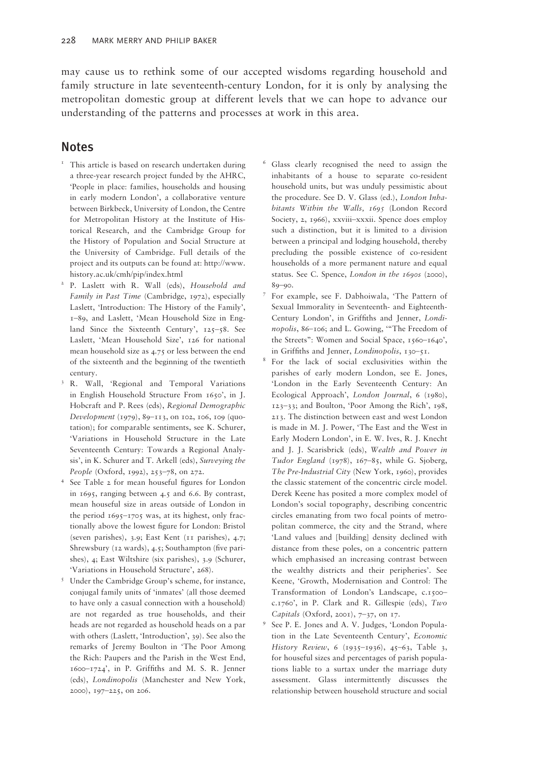may cause us to rethink some of our accepted wisdoms regarding household and family structure in late seventeenth-century London, for it is only by analysing the metropolitan domestic group at different levels that we can hope to advance our understanding of the patterns and processes at work in this area.

#### Notes

- <sup>1</sup> This article is based on research undertaken during a three-year research project funded by the AHRC, 'People in place: families, households and housing in early modern London', a collaborative venture between Birkbeck, University of London, the Centre for Metropolitan History at the Institute of Historical Research, and the Cambridge Group for the History of Population and Social Structure at the University of Cambridge. Full details of the project and its outputs can be found at: http://www. history.ac.uk/cmh/pip/index.html
- 2 P. Laslett with R. Wall (eds), *Household and Family in Past Time* (Cambridge, 1972), especially Laslett, 'Introduction: The History of the Family', 1–89, and Laslett, 'Mean Household Size in England Since the Sixteenth Century', 125–58. See Laslett, 'Mean Household Size', 126 for national mean household size as 4.75 or less between the end of the sixteenth and the beginning of the twentieth century.
- 3 R. Wall, 'Regional and Temporal Variations in English Household Structure From 1650', in J. Hobcraft and P. Rees (eds), *Regional Demographic Development* (1979), 89-113, on 102, 106, 109 (quotation); for comparable sentiments, see K. Schurer, 'Variations in Household Structure in the Late Seventeenth Century: Towards a Regional Analysis', in K. Schurer and T. Arkell (eds), *Surveying the People* (Oxford, 1992), 253–78, on 272.
- <sup>4</sup> See Table 2 for mean houseful figures for London in 1695, ranging between 4.5 and 6.6. By contrast, mean houseful size in areas outside of London in the period  $1695-1705$  was, at its highest, only fractionally above the lowest figure for London: Bristol (seven parishes), 3.9; East Kent (11 parishes), 4.7; Shrewsbury (12 wards), 4.5; Southampton (five parishes), 4; East Wiltshire (six parishes), 3.9 (Schurer, 'Variations in Household Structure', 268).
- 5 Under the Cambridge Group's scheme, for instance, conjugal family units of 'inmates' (all those deemed to have only a casual connection with a household) are not regarded as true households, and their heads are not regarded as household heads on a par with others (Laslett, 'Introduction', 39). See also the remarks of Jeremy Boulton in 'The Poor Among the Rich: Paupers and the Parish in the West End,  $1600 - 1724$ ', in P. Griffiths and M. S. R. Jenner (eds), *Londinopolis* (Manchester and New York, 2000), 197–225, on 206.
- 6 Glass clearly recognised the need to assign the inhabitants of a house to separate co-resident household units, but was unduly pessimistic about the procedure. See D. V. Glass (ed.), *London Inhabitants Within the Walls, 1695* (London Record Society, 2, 1966), xxviii–xxxii. Spence does employ such a distinction, but it is limited to a division between a principal and lodging household, thereby precluding the possible existence of co-resident households of a more permanent nature and equal status. See C. Spence, *London in the 1690s* (2000),  $89 - 90.$
- 7 For example, see F. Dabhoiwala, 'The Pattern of Sexual Immorality in Seventeenth- and Eighteenth-Century London', in Griffiths and Jenner, *Londinopolis*, 86–106; and L. Gowing, '"The Freedom of the Streets": Women and Social Space, 1560-1640', in Griffiths and Jenner, *Londinopolis*, 130-51.
- 8 For the lack of social exclusivities within the parishes of early modern London, see E. Jones, 'London in the Early Seventeenth Century: An Ecological Approach', *London Journal*, 6 (1980), 123–33; and Boulton, 'Poor Among the Rich', 198, 213. The distinction between east and west London is made in M. J. Power, 'The East and the West in Early Modern London', in E. W. Ives, R. J. Knecht and J. J. Scarisbrick (eds), *Wealth and Power in Tudor England* (1978), 167–85, while G. Sjoberg, *The Pre-Industrial City* (New York, 1960), provides the classic statement of the concentric circle model. Derek Keene has posited a more complex model of London's social topography, describing concentric circles emanating from two focal points of metropolitan commerce, the city and the Strand, where 'Land values and [building] density declined with distance from these poles, on a concentric pattern which emphasised an increasing contrast between the wealthy districts and their peripheries'. See Keene, 'Growth, Modernisation and Control: The Transformation of London's Landscape, c.1500– c.1760', in P. Clark and R. Gillespie (eds), *Two Capitals* (Oxford, 2001), 7–37, on 17.
- 9 See P. E. Jones and A. V. Judges, 'London Population in the Late Seventeenth Century', *Economic History Review*, 6 (1935–1936), 45–63, Table 3, for houseful sizes and percentages of parish populations liable to a surtax under the marriage duty assessment. Glass intermittently discusses the relationship between household structure and social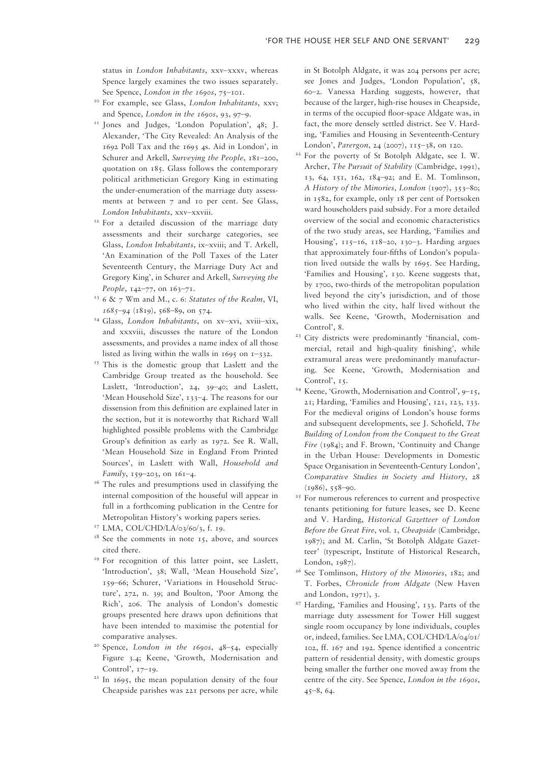status in *London Inhabitants*, xxv–xxxv, whereas Spence largely examines the two issues separately. See Spence, *London in the 1690s*, 75–101.

- 10 For example, see Glass, *London Inhabitants*, xxv; and Spence, *London in the 1690s*, 93, 97–9.
- <sup>11</sup> Jones and Judges, 'London Population', 48; J. Alexander, 'The City Revealed: An Analysis of the 1692 Poll Tax and the 1693 4s. Aid in London', in Schurer and Arkell, *Surveying the People*, 181–200, quotation on 185. Glass follows the contemporary political arithmetician Gregory King in estimating the under-enumeration of the marriage duty assessments at between 7 and 10 per cent. See Glass, *London Inhabitants*, xxv–xxviii.
- <sup>12</sup> For a detailed discussion of the marriage duty assessments and their surcharge categories, see Glass, *London Inhabitants*, ix–xviii; and T. Arkell, 'An Examination of the Poll Taxes of the Later Seventeenth Century, the Marriage Duty Act and Gregory King', in Schurer and Arkell, *Surveying the People*, 142–77, on 163–71.
- 13 6 & 7 Wm and M., c. 6: *Statutes of the Realm*, VI, *1685–94* (1819), 568–89, on 574.
- 14 Glass, *London Inhabitants*, on xv–xvi, xviii–xix, and xxxviii, discusses the nature of the London assessments, and provides a name index of all those listed as living within the walls in 1695 on 1–332.
- <sup>15</sup> This is the domestic group that Laslett and the Cambridge Group treated as the household. See Laslett, 'Introduction', 24, 39–40; and Laslett, 'Mean Household Size', 133–4. The reasons for our dissension from this definition are explained later in the section, but it is noteworthy that Richard Wall highlighted possible problems with the Cambridge Group's definition as early as 1972. See R. Wall, 'Mean Household Size in England From Printed Sources', in Laslett with Wall, *Household and Family*, 159–203, on 161–4.
- <sup>16</sup> The rules and presumptions used in classifying the internal composition of the houseful will appear in full in a forthcoming publication in the Centre for Metropolitan History's working papers series.
- 17 LMA, COL/CHD/LA/03/60/3, f. 19.
- <sup>18</sup> See the comments in note 15, above, and sources cited there.
- <sup>19</sup> For recognition of this latter point, see Laslett, 'Introduction', 38; Wall, 'Mean Household Size', 159–66; Schurer, 'Variations in Household Structure', 272, n. 39; and Boulton, 'Poor Among the Rich', 206. The analysis of London's domestic groups presented here draws upon definitions that have been intended to maximise the potential for comparative analyses.
- 20 Spence, *London in the 1690s*, 48–54, especially Figure 3.4; Keene, 'Growth, Modernisation and Control', 17–19.
- $21$  In 1695, the mean population density of the four Cheapside parishes was 221 persons per acre, while

in St Botolph Aldgate, it was 204 persons per acre; see Jones and Judges, 'London Population', 58, 60–2. Vanessa Harding suggests, however, that because of the larger, high-rise houses in Cheapside, in terms of the occupied floor-space Aldgate was, in fact, the more densely settled district. See V. Harding, 'Families and Housing in Seventeenth-Century London', *Parergon*, 24 (2007), 115–38, on 120.

- 22 For the poverty of St Botolph Aldgate, see I. W. Archer, *The Pursuit of Stability* (Cambridge, 1991), 13, 64, 151, 162, 184–92; and E. M. Tomlinson, *A History of the Minories, London* (1907), 353–80; in 1582, for example, only 18 per cent of Portsoken ward householders paid subsidy. For a more detailed overview of the social and economic characteristics of the two study areas, see Harding, 'Families and Housing', 115–16, 118–20, 130–3. Harding argues that approximately four-fifths of London's population lived outside the walls by 1695. See Harding, 'Families and Housing', 130. Keene suggests that, by 1700, two-thirds of the metropolitan population lived beyond the city's jurisdiction, and of those who lived within the city, half lived without the walls. See Keene, 'Growth, Modernisation and Control', 8.
- <sup>23</sup> City districts were predominantly 'financial, commercial, retail and high-quality finishing', while extramural areas were predominantly manufacturing. See Keene, 'Growth, Modernisation and Control', 15.
- 24 Keene, 'Growth, Modernisation and Control', 9–15, 21; Harding, 'Families and Housing', 121, 123, 133. For the medieval origins of London's house forms and subsequent developments, see J. Schofield, The *Building of London from the Conquest to the Great Fire* (1984); and F. Brown, 'Continuity and Change in the Urban House: Developments in Domestic Space Organisation in Seventeenth-Century London', *Comparative Studies in Society and History*, 28 (1986), 558–90.
- <sup>25</sup> For numerous references to current and prospective tenants petitioning for future leases, see D. Keene and V. Harding, *Historical Gazetteer of London Before the Great Fire*, vol. 1, *Cheapside* (Cambridge, 1987); and M. Carlin, 'St Botolph Aldgate Gazetteer' (typescript, Institute of Historical Research, London, 1987).
- 26 See Tomlinson, *History of the Minories*, 182; and T. Forbes, *Chronicle from Aldgate* (New Haven and London, 1971), 3.
- 27 Harding, 'Families and Housing', 133. Parts of the marriage duty assessment for Tower Hill suggest single room occupancy by lone individuals, couples or, indeed, families. See LMA, COL/CHD/LA/04/01/ 102, ff. 167 and 192. Spence identified a concentric pattern of residential density, with domestic groups being smaller the further one moved away from the centre of the city. See Spence, *London in the 1690s*, 45–8, 64.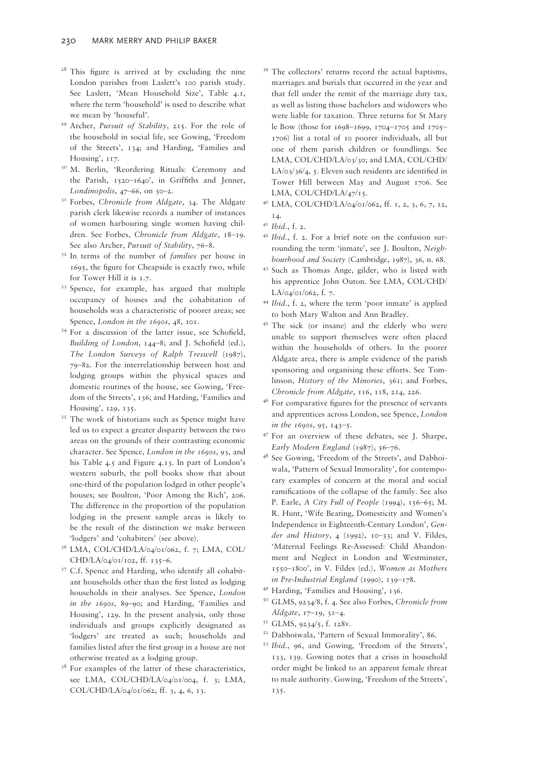- $28$  This figure is arrived at by excluding the nine London parishes from Laslett's 100 parish study. See Laslett, 'Mean Household Size', Table 4.1, where the term 'household' is used to describe what we mean by 'houseful'.
- 29 Archer, *Pursuit of Stability*, 215. For the role of the household in social life, see Gowing, 'Freedom of the Streets', 134; and Harding, 'Families and Housing', 117.
- 30 M. Berlin, 'Reordering Rituals: Ceremony and the Parish,  $1520-1640$ ', in Griffiths and Jenner, *Londinopolis*, 47–66, on 50–2.
- 31 Forbes, *Chronicle from Aldgate*, 34. The Aldgate parish clerk likewise records a number of instances of women harbouring single women having children. See Forbes, *Chronicle from Aldgate*, 18–19. See also Archer, *Pursuit of Stability*, 76–8.
- 32 In terms of the number of *families* per house in 1695, the figure for Cheapside is exactly two, while for Tower Hill it is 1.7.
- 33 Spence, for example, has argued that multiple occupancy of houses and the cohabitation of households was a characteristic of poorer areas; see Spence, *London in the 1690s*, 48, 101.
- <sup>34</sup> For a discussion of the latter issue, see Schofield, Building of London, 144-8; and J. Schofield (ed.), *The London Surveys of Ralph Treswell* (1987), 79–82. For the interrelationship between host and lodging groups within the physical spaces and domestic routines of the house, see Gowing, 'Freedom of the Streets', 136; and Harding, 'Families and Housing', 129, 135.
- <sup>35</sup> The work of historians such as Spence might have led us to expect a greater disparity between the two areas on the grounds of their contrasting economic character. See Spence, *London in the 1690s*, 93, and his Table 4.5 and Figure 4.13. In part of London's western suburb, the poll books show that about one-third of the population lodged in other people's houses; see Boulton, 'Poor Among the Rich', 206. The difference in the proportion of the population lodging in the present sample areas is likely to be the result of the distinction we make between 'lodgers' and 'cohabiters' (see above).
- 36 LMA, COL/CHD/LA/04/01/062, f. 7; LMA, COL/ CHD/LA/04/01/102, ff. 135–6.
- 37 C.f. Spence and Harding, who identify all cohabitant households other than the first listed as lodging households in their analyses. See Spence, *London in the 1690s*, 89–90; and Harding, 'Families and Housing', 129. In the present analysis, only those individuals and groups explicitly designated as 'lodgers' are treated as such; households and families listed after the first group in a house are not otherwise treated as a lodging group.
- <sup>38</sup> For examples of the latter of these characteristics, see LMA, COL/CHD/LA/04/01/004, f. 3; LMA, COL/CHD/LA/04/01/062, ff. 3, 4, 6, 13.
- 39 The collectors' returns record the actual baptisms, marriages and burials that occurred in the year and that fell under the remit of the marriage duty tax, as well as listing those bachelors and widowers who were liable for taxation. Three returns for St Mary le Bow (those for 1698–1699, 1704–1705 and 1705– 1706) list a total of 10 poorer individuals, all but one of them parish children or foundlings. See LMA, COL/CHD/LA/03/30; and LMA, COL/CHD/  $LA/03/36/4$ , 5. Eleven such residents are identified in Tower Hill between May and August 1706. See LMA, COL/CHD/LA/47/15.
- 40 LMA, COL/CHD/LA/04/01/062, ff. 1, 2, 3, 6, 7, 12, 14.
- <sup>41</sup>*Ibid.*, f. 2.
- <sup>42</sup>*Ibid.*, f. 2. For a brief note on the confusion surrounding the term 'inmate', see J. Boulton, *Neighbourhood and Society* (Cambridge, 1987), 36, n. 68.
- 43 Such as Thomas Ange, gilder, who is listed with his apprentice John Outon. See LMA, COL/CHD/ LA/04/01/062, f. 7.
- <sup>44</sup>*Ibid.*, f. 2, where the term 'poor inmate' is applied to both Mary Walton and Ann Bradley.
- 45 The sick (or insane) and the elderly who were unable to support themselves were often placed within the households of others. In the poorer Aldgate area, there is ample evidence of the parish sponsoring and organising these efforts. See Tomlinson, *History of the Minories*, 361; and Forbes, *Chronicle from Aldgate*, 116, 118, 214, 226.
- <sup>46</sup> For comparative figures for the presence of servants and apprentices across London, see Spence, *London in the 1690s*, 95, 143–5.
- 47 For an overview of these debates, see J. Sharpe, Early Modern England (1987), 56-76.
- 48 See Gowing, 'Freedom of the Streets', and Dabhoiwala, 'Pattern of Sexual Immorality', for contemporary examples of concern at the moral and social ramifications of the collapse of the family. See also P. Earle, *A City Full of People* (1994), 156–65; M. R. Hunt, 'Wife Beating, Domesticity and Women's Independence in Eighteenth-Century London', *Gender and History*, 4 (1992), 10–33; and V. Fildes, 'Maternal Feelings Re-Assessed: Child Abandonment and Neglect in London and Westminster, 1550–1800', in V. Fildes (ed.), *Women as Mothers in Pre-Industrial England* (1990), 139–178.
- 49 Harding, 'Families and Housing', 136.
- 50 GLMS, 9234/8, f. 4. See also Forbes, *Chronicle from Aldgate*, 17–19, 31–4.
- 51 GLMS, 9234/5, f. 128v.
- 52 Dabhoiwala, 'Pattern of Sexual Immorality', 86.
- <sup>53</sup>*Ibid.*, 96, and Gowing, 'Freedom of the Streets', 133, 139. Gowing notes that a crisis in household order might be linked to an apparent female threat to male authority. Gowing, 'Freedom of the Streets', 135.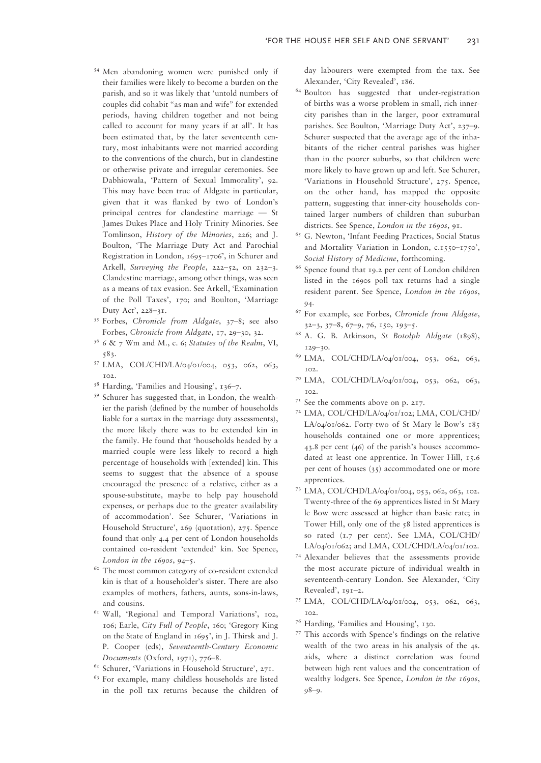- 54 Men abandoning women were punished only if their families were likely to become a burden on the parish, and so it was likely that 'untold numbers of couples did cohabit "as man and wife" for extended periods, having children together and not being called to account for many years if at all'. It has been estimated that, by the later seventeenth century, most inhabitants were not married according to the conventions of the church, but in clandestine or otherwise private and irregular ceremonies. See Dabhiowala, 'Pattern of Sexual Immorality', 92. This may have been true of Aldgate in particular, given that it was flanked by two of London's principal centres for clandestine marriage — St James Dukes Place and Holy Trinity Minories. See Tomlinson, *History of the Minories*, 226; and J. Boulton, 'The Marriage Duty Act and Parochial Registration in London, 1695–1706', in Schurer and Arkell, *Surveying the People*, 222–52, on 232–3. Clandestine marriage, among other things, was seen as a means of tax evasion. See Arkell, 'Examination of the Poll Taxes', 170; and Boulton, 'Marriage Duty Act', 228–31.
- 55 Forbes, *Chronicle from Aldgate*, 37–8; see also Forbes, *Chronicle from Aldgate*, 17, 29–30, 32.
- 56 6 & 7 Wm and M., c. 6; *Statutes of the Realm*, VI, 583.
- 57 LMA, COL/CHD/LA/04/01/004, 053, 062, 063, 102.
- 58 Harding, 'Families and Housing', 136–7.
- 59 Schurer has suggested that, in London, the wealthier the parish (defined by the number of households liable for a surtax in the marriage duty assessments), the more likely there was to be extended kin in the family. He found that 'households headed by a married couple were less likely to record a high percentage of households with [extended] kin. This seems to suggest that the absence of a spouse encouraged the presence of a relative, either as a spouse-substitute, maybe to help pay household expenses, or perhaps due to the greater availability of accommodation'. See Schurer, 'Variations in Household Structure', 269 (quotation), 275. Spence found that only 4.4 per cent of London households contained co-resident 'extended' kin. See Spence, *London in the 1690s*, 94–5.
- 60 The most common category of co-resident extended kin is that of a householder's sister. There are also examples of mothers, fathers, aunts, sons-in-laws, and cousins.
- 61 Wall, 'Regional and Temporal Variations', 102, 106; Earle, *City Full of People*, 160; 'Gregory King on the State of England in 1695', in J. Thirsk and J. P. Cooper (eds), *Seventeenth-Century Economic Documents* (Oxford, 1971), 776–8.
- 62 Schurer, 'Variations in Household Structure', 271.
- $63$  For example, many childless households are listed in the poll tax returns because the children of

day labourers were exempted from the tax. See Alexander, 'City Revealed', 186.

- 64 Boulton has suggested that under-registration of births was a worse problem in small, rich innercity parishes than in the larger, poor extramural parishes. See Boulton, 'Marriage Duty Act', 237–9. Schurer suspected that the average age of the inhabitants of the richer central parishes was higher than in the poorer suburbs, so that children were more likely to have grown up and left. See Schurer, 'Variations in Household Structure', 275. Spence, on the other hand, has mapped the opposite pattern, suggesting that inner-city households contained larger numbers of children than suburban districts. See Spence, *London in the 1690s*, 91.
- 65 G. Newton, 'Infant Feeding Practices, Social Status and Mortality Variation in London, c.1550–1750', *Social History of Medicine*, forthcoming.
- 66 Spence found that 19.2 per cent of London children listed in the 1690s poll tax returns had a single resident parent. See Spence, *London in the 1690s*, 94.
- 67 For example, see Forbes, *Chronicle from Aldgate*, 32–3, 37–8, 67–9, 76, 150, 193–5.
- 68 A. G. B. Atkinson, *St Botolph Aldgate* (1898),  $129 - 30.$
- 69 LMA, COL/CHD/LA/04/01/004, 053, 062, 063, 102.
- 70 LMA, COL/CHD/LA/04/01/004, 053, 062, 063, 102.
- 71 See the comments above on p. 217.
- 72 LMA, COL/CHD/LA/04/01/102; LMA, COL/CHD/ LA/04/01/062. Forty-two of St Mary le Bow's 185 households contained one or more apprentices; 43.8 per cent (46) of the parish's houses accommodated at least one apprentice. In Tower Hill, 15.6 per cent of houses (35) accommodated one or more apprentices.
- 73 LMA, COL/CHD/LA/04/01/004, 053, 062, 063, 102. Twenty-three of the 69 apprentices listed in St Mary le Bow were assessed at higher than basic rate; in Tower Hill, only one of the 58 listed apprentices is so rated (1.7 per cent). See LMA, COL/CHD/ LA/04/01/062; and LMA, COL/CHD/LA/04/01/102.
- 74 Alexander believes that the assessments provide the most accurate picture of individual wealth in seventeenth-century London. See Alexander, 'City Revealed', 191–2.
- 75 LMA, COL/CHD/LA/04/01/004, 053, 062, 063, 102.
- 76 Harding, 'Families and Housing', 130.
- 77 This accords with Spence's findings on the relative wealth of the two areas in his analysis of the 4s. aids, where a distinct correlation was found between high rent values and the concentration of wealthy lodgers. See Spence, *London in the 1690s*, 98–9.